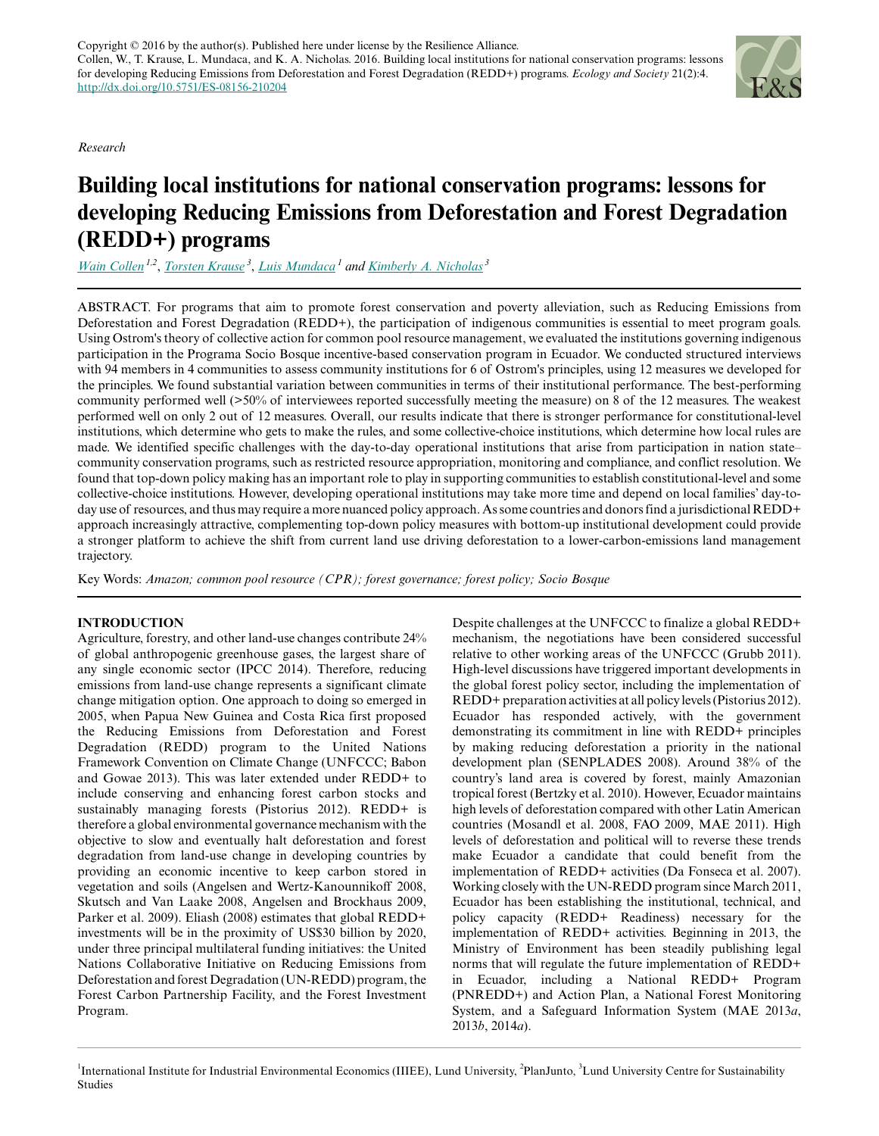Copyright  $\oslash$  2016 by the author(s). Published here under license by the Resilience Alliance. Collen, W., T. Krause, L. Mundaca, and K. A. Nicholas. 2016. Building local institutions for national conservation programs: lessons for developing Reducing Emissions from Deforestation and Forest Degradation (REDD+) programs. *Ecology and Society* 21(2):4. <http://dx.doi.org/10.5751/ES-08156-210204>

*Research*

# **Building local institutions for national conservation programs: lessons for developing Reducing Emissions from Deforestation and Forest Degradation (REDD+) programs**

*[Wain Collen](mailto:wain.collen@planjunto.ec) 1,2* , *[Torsten Krause](mailto:torsten.krause@lucsus.lu.se)<sup>3</sup>* , *[Luis Mundaca](mailto:luis.mundaca@iiiee.lu.se)<sup>1</sup> and [Kimberly A. Nicholas](mailto:kimberly.nicholas.academic@gmail.com)<sup>3</sup>*

ABSTRACT. For programs that aim to promote forest conservation and poverty alleviation, such as Reducing Emissions from Deforestation and Forest Degradation (REDD+), the participation of indigenous communities is essential to meet program goals. Using Ostrom's theory of collective action for common pool resource management, we evaluated the institutions governing indigenous participation in the Programa Socio Bosque incentive-based conservation program in Ecuador. We conducted structured interviews with 94 members in 4 communities to assess community institutions for 6 of Ostrom's principles, using 12 measures we developed for the principles. We found substantial variation between communities in terms of their institutional performance. The best-performing community performed well (>50% of interviewees reported successfully meeting the measure) on 8 of the 12 measures. The weakest performed well on only 2 out of 12 measures. Overall, our results indicate that there is stronger performance for constitutional-level institutions, which determine who gets to make the rules, and some collective-choice institutions, which determine how local rules are made. We identified specific challenges with the day-to-day operational institutions that arise from participation in nation state– community conservation programs, such as restricted resource appropriation, monitoring and compliance, and conflict resolution. We found that top-down policy making has an important role to play in supporting communities to establish constitutional-level and some collective-choice institutions. However, developing operational institutions may take more time and depend on local families' day-today use of resources, and thus may require a more nuanced policy approach. As some countries and donors find a jurisdictional REDD+ approach increasingly attractive, complementing top-down policy measures with bottom-up institutional development could provide a stronger platform to achieve the shift from current land use driving deforestation to a lower-carbon-emissions land management trajectory.

Key Words: *Amazon; common pool resource (CPR); forest governance; forest policy; Socio Bosque*

## **INTRODUCTION**

Agriculture, forestry, and other land-use changes contribute 24% of global anthropogenic greenhouse gases, the largest share of any single economic sector (IPCC 2014). Therefore, reducing emissions from land-use change represents a significant climate change mitigation option. One approach to doing so emerged in 2005, when Papua New Guinea and Costa Rica first proposed the Reducing Emissions from Deforestation and Forest Degradation (REDD) program to the United Nations Framework Convention on Climate Change (UNFCCC; Babon and Gowae 2013). This was later extended under REDD+ to include conserving and enhancing forest carbon stocks and sustainably managing forests (Pistorius 2012). REDD+ is therefore a global environmental governance mechanism with the objective to slow and eventually halt deforestation and forest degradation from land-use change in developing countries by providing an economic incentive to keep carbon stored in vegetation and soils (Angelsen and Wertz-Kanounnikoff 2008, Skutsch and Van Laake 2008, Angelsen and Brockhaus 2009, Parker et al. 2009). Eliash (2008) estimates that global REDD+ investments will be in the proximity of US\$30 billion by 2020, under three principal multilateral funding initiatives: the United Nations Collaborative Initiative on Reducing Emissions from Deforestation and forest Degradation (UN-REDD) program, the Forest Carbon Partnership Facility, and the Forest Investment Program.

Despite challenges at the UNFCCC to finalize a global REDD+ mechanism, the negotiations have been considered successful relative to other working areas of the UNFCCC (Grubb 2011). High-level discussions have triggered important developments in the global forest policy sector, including the implementation of REDD+ preparation activities at all policy levels (Pistorius 2012). Ecuador has responded actively, with the government demonstrating its commitment in line with REDD+ principles by making reducing deforestation a priority in the national development plan (SENPLADES 2008). Around 38% of the country's land area is covered by forest, mainly Amazonian tropical forest (Bertzky et al. 2010). However, Ecuador maintains high levels of deforestation compared with other Latin American countries (Mosandl et al. 2008, FAO 2009, MAE 2011). High levels of deforestation and political will to reverse these trends make Ecuador a candidate that could benefit from the implementation of REDD+ activities (Da Fonseca et al. 2007). Working closely with the UN-REDD program since March 2011, Ecuador has been establishing the institutional, technical, and policy capacity (REDD+ Readiness) necessary for the implementation of REDD+ activities. Beginning in 2013, the Ministry of Environment has been steadily publishing legal norms that will regulate the future implementation of REDD+ in Ecuador, including a National REDD+ Program (PNREDD+) and Action Plan, a National Forest Monitoring System, and a Safeguard Information System (MAE 2013*a*, 2013*b*, 2014*a*).

<sup>1</sup>International Institute for Industrial Environmental Economics (IIIEE), Lund University, <sup>2</sup>PlanJunto, <sup>3</sup>Lund University Centre for Sustainability Studies

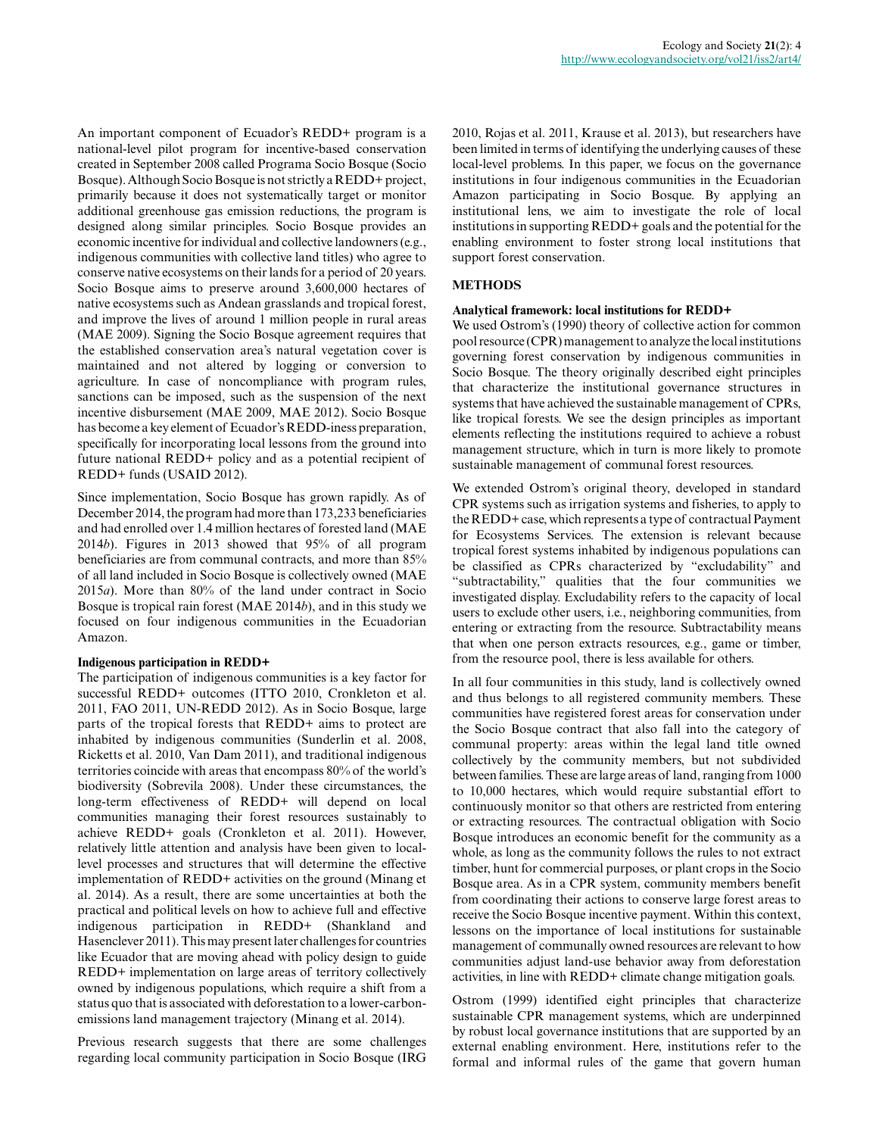An important component of Ecuador's REDD+ program is a national-level pilot program for incentive-based conservation created in September 2008 called Programa Socio Bosque (Socio Bosque). Although Socio Bosque is not strictly a REDD+ project, primarily because it does not systematically target or monitor additional greenhouse gas emission reductions, the program is designed along similar principles. Socio Bosque provides an economic incentive for individual and collective landowners (e.g., indigenous communities with collective land titles) who agree to conserve native ecosystems on their lands for a period of 20 years. Socio Bosque aims to preserve around 3,600,000 hectares of native ecosystems such as Andean grasslands and tropical forest, and improve the lives of around 1 million people in rural areas (MAE 2009). Signing the Socio Bosque agreement requires that the established conservation area's natural vegetation cover is maintained and not altered by logging or conversion to agriculture. In case of noncompliance with program rules, sanctions can be imposed, such as the suspension of the next incentive disbursement (MAE 2009, MAE 2012). Socio Bosque has become a key element of Ecuador's REDD-iness preparation, specifically for incorporating local lessons from the ground into future national REDD+ policy and as a potential recipient of REDD+ funds (USAID 2012).

Since implementation, Socio Bosque has grown rapidly. As of December 2014, the program had more than 173,233 beneficiaries and had enrolled over 1.4 million hectares of forested land (MAE 2014*b*). Figures in 2013 showed that 95% of all program beneficiaries are from communal contracts, and more than 85% of all land included in Socio Bosque is collectively owned (MAE 2015*a*). More than 80% of the land under contract in Socio Bosque is tropical rain forest (MAE 2014*b*), and in this study we focused on four indigenous communities in the Ecuadorian Amazon.

#### **Indigenous participation in REDD+**

The participation of indigenous communities is a key factor for successful REDD+ outcomes (ITTO 2010, Cronkleton et al. 2011, FAO 2011, UN-REDD 2012). As in Socio Bosque, large parts of the tropical forests that REDD+ aims to protect are inhabited by indigenous communities (Sunderlin et al. 2008, Ricketts et al. 2010, Van Dam 2011), and traditional indigenous territories coincide with areas that encompass 80% of the world's biodiversity (Sobrevila 2008). Under these circumstances, the long-term effectiveness of REDD+ will depend on local communities managing their forest resources sustainably to achieve REDD+ goals (Cronkleton et al. 2011). However, relatively little attention and analysis have been given to locallevel processes and structures that will determine the effective implementation of REDD+ activities on the ground (Minang et al. 2014). As a result, there are some uncertainties at both the practical and political levels on how to achieve full and effective indigenous participation in REDD+ (Shankland and Hasenclever 2011). This may present later challenges for countries like Ecuador that are moving ahead with policy design to guide REDD+ implementation on large areas of territory collectively owned by indigenous populations, which require a shift from a status quo that is associated with deforestation to a lower-carbonemissions land management trajectory (Minang et al. 2014).

Previous research suggests that there are some challenges regarding local community participation in Socio Bosque (IRG 2010, Rojas et al. 2011, Krause et al. 2013), but researchers have been limited in terms of identifying the underlying causes of these local-level problems. In this paper, we focus on the governance institutions in four indigenous communities in the Ecuadorian Amazon participating in Socio Bosque. By applying an institutional lens, we aim to investigate the role of local institutions in supporting REDD+ goals and the potential for the enabling environment to foster strong local institutions that support forest conservation.

## **METHODS**

## **Analytical framework: local institutions for REDD+**

We used Ostrom's (1990) theory of collective action for common pool resource (CPR) management to analyze the local institutions governing forest conservation by indigenous communities in Socio Bosque. The theory originally described eight principles that characterize the institutional governance structures in systems that have achieved the sustainable management of CPRs, like tropical forests. We see the design principles as important elements reflecting the institutions required to achieve a robust management structure, which in turn is more likely to promote sustainable management of communal forest resources.

We extended Ostrom's original theory, developed in standard CPR systems such as irrigation systems and fisheries, to apply to the REDD+ case, which represents a type of contractual Payment for Ecosystems Services. The extension is relevant because tropical forest systems inhabited by indigenous populations can be classified as CPRs characterized by "excludability" and "subtractability," qualities that the four communities we investigated display. Excludability refers to the capacity of local users to exclude other users, i.e., neighboring communities, from entering or extracting from the resource. Subtractability means that when one person extracts resources, e.g., game or timber, from the resource pool, there is less available for others.

In all four communities in this study, land is collectively owned and thus belongs to all registered community members. These communities have registered forest areas for conservation under the Socio Bosque contract that also fall into the category of communal property: areas within the legal land title owned collectively by the community members, but not subdivided between families. These are large areas of land, ranging from 1000 to 10,000 hectares, which would require substantial effort to continuously monitor so that others are restricted from entering or extracting resources. The contractual obligation with Socio Bosque introduces an economic benefit for the community as a whole, as long as the community follows the rules to not extract timber, hunt for commercial purposes, or plant crops in the Socio Bosque area. As in a CPR system, community members benefit from coordinating their actions to conserve large forest areas to receive the Socio Bosque incentive payment. Within this context, lessons on the importance of local institutions for sustainable management of communally owned resources are relevant to how communities adjust land-use behavior away from deforestation activities, in line with REDD+ climate change mitigation goals.

Ostrom (1999) identified eight principles that characterize sustainable CPR management systems, which are underpinned by robust local governance institutions that are supported by an external enabling environment. Here, institutions refer to the formal and informal rules of the game that govern human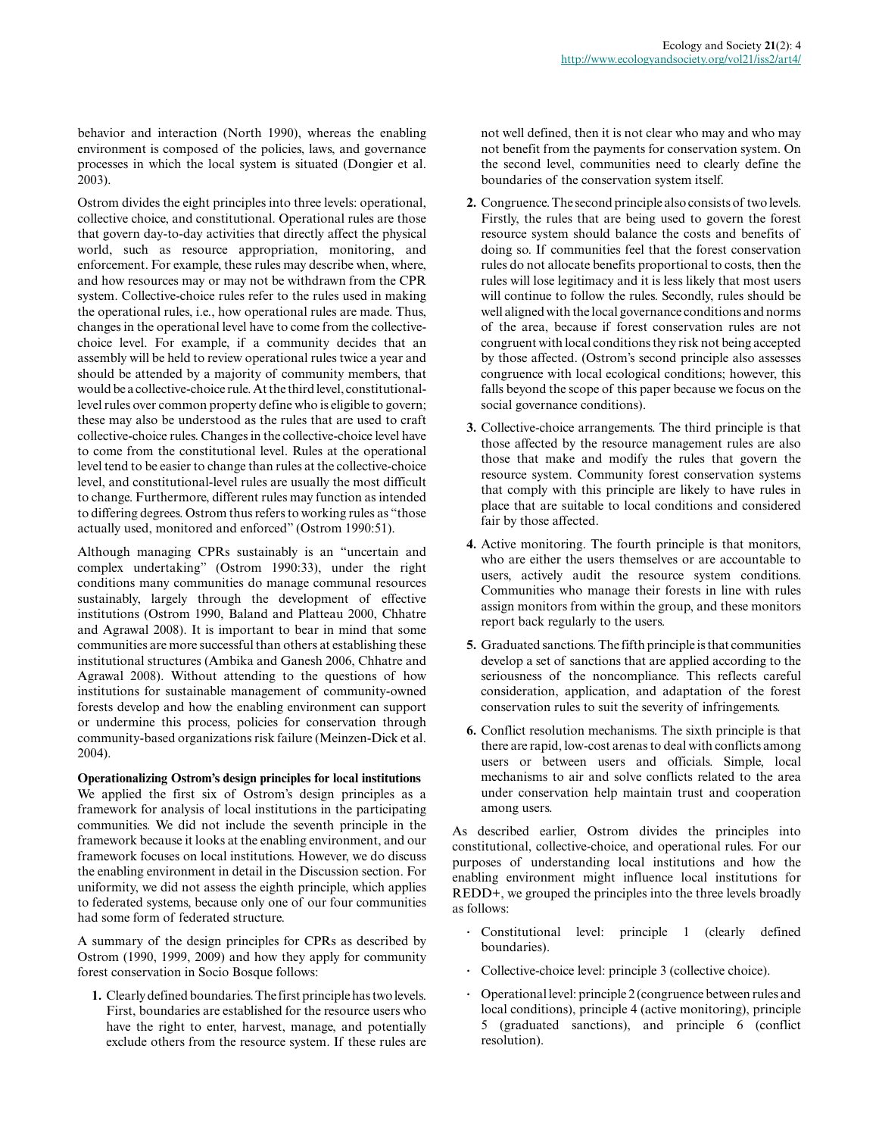behavior and interaction (North 1990), whereas the enabling environment is composed of the policies, laws, and governance processes in which the local system is situated (Dongier et al. 2003).

Ostrom divides the eight principles into three levels: operational, collective choice, and constitutional. Operational rules are those that govern day-to-day activities that directly affect the physical world, such as resource appropriation, monitoring, and enforcement. For example, these rules may describe when, where, and how resources may or may not be withdrawn from the CPR system. Collective-choice rules refer to the rules used in making the operational rules, i.e., how operational rules are made. Thus, changes in the operational level have to come from the collectivechoice level. For example, if a community decides that an assembly will be held to review operational rules twice a year and should be attended by a majority of community members, that would be a collective-choice rule. At the third level, constitutionallevel rules over common property define who is eligible to govern; these may also be understood as the rules that are used to craft collective-choice rules. Changes in the collective-choice level have to come from the constitutional level. Rules at the operational level tend to be easier to change than rules at the collective-choice level, and constitutional-level rules are usually the most difficult to change. Furthermore, different rules may function as intended to differing degrees. Ostrom thus refers to working rules as "those actually used, monitored and enforced" (Ostrom 1990:51).

Although managing CPRs sustainably is an "uncertain and complex undertaking" (Ostrom 1990:33), under the right conditions many communities do manage communal resources sustainably, largely through the development of effective institutions (Ostrom 1990, Baland and Platteau 2000, Chhatre and Agrawal 2008). It is important to bear in mind that some communities are more successful than others at establishing these institutional structures (Ambika and Ganesh 2006, Chhatre and Agrawal 2008). Without attending to the questions of how institutions for sustainable management of community-owned forests develop and how the enabling environment can support or undermine this process, policies for conservation through community-based organizations risk failure (Meinzen-Dick et al. 2004).

#### **Operationalizing Ostrom's design principles for local institutions**

We applied the first six of Ostrom's design principles as a framework for analysis of local institutions in the participating communities. We did not include the seventh principle in the framework because it looks at the enabling environment, and our framework focuses on local institutions. However, we do discuss the enabling environment in detail in the Discussion section. For uniformity, we did not assess the eighth principle, which applies to federated systems, because only one of our four communities had some form of federated structure.

A summary of the design principles for CPRs as described by Ostrom (1990, 1999, 2009) and how they apply for community forest conservation in Socio Bosque follows:

**1.** Clearly defined boundaries. The first principle has two levels. First, boundaries are established for the resource users who have the right to enter, harvest, manage, and potentially exclude others from the resource system. If these rules are not well defined, then it is not clear who may and who may not benefit from the payments for conservation system. On the second level, communities need to clearly define the boundaries of the conservation system itself.

- **2.** Congruence. The second principle also consists of two levels. Firstly, the rules that are being used to govern the forest resource system should balance the costs and benefits of doing so. If communities feel that the forest conservation rules do not allocate benefits proportional to costs, then the rules will lose legitimacy and it is less likely that most users will continue to follow the rules. Secondly, rules should be well aligned with the local governance conditions and norms of the area, because if forest conservation rules are not congruent with local conditions they risk not being accepted by those affected. (Ostrom's second principle also assesses congruence with local ecological conditions; however, this falls beyond the scope of this paper because we focus on the social governance conditions).
- **3.** Collective-choice arrangements. The third principle is that those affected by the resource management rules are also those that make and modify the rules that govern the resource system. Community forest conservation systems that comply with this principle are likely to have rules in place that are suitable to local conditions and considered fair by those affected.
- **4.** Active monitoring. The fourth principle is that monitors, who are either the users themselves or are accountable to users, actively audit the resource system conditions. Communities who manage their forests in line with rules assign monitors from within the group, and these monitors report back regularly to the users.
- **5.** Graduated sanctions. The fifth principle is that communities develop a set of sanctions that are applied according to the seriousness of the noncompliance. This reflects careful consideration, application, and adaptation of the forest conservation rules to suit the severity of infringements.
- **6.** Conflict resolution mechanisms. The sixth principle is that there are rapid, low-cost arenas to deal with conflicts among users or between users and officials. Simple, local mechanisms to air and solve conflicts related to the area under conservation help maintain trust and cooperation among users.

As described earlier, Ostrom divides the principles into constitutional, collective-choice, and operational rules. For our purposes of understanding local institutions and how the enabling environment might influence local institutions for REDD+, we grouped the principles into the three levels broadly as follows:

- **.** Constitutional level: principle 1 (clearly defined boundaries).
- **.** Collective-choice level: principle 3 (collective choice).
- **.** Operational level: principle 2 (congruence between rules and local conditions), principle 4 (active monitoring), principle 5 (graduated sanctions), and principle 6 (conflict resolution).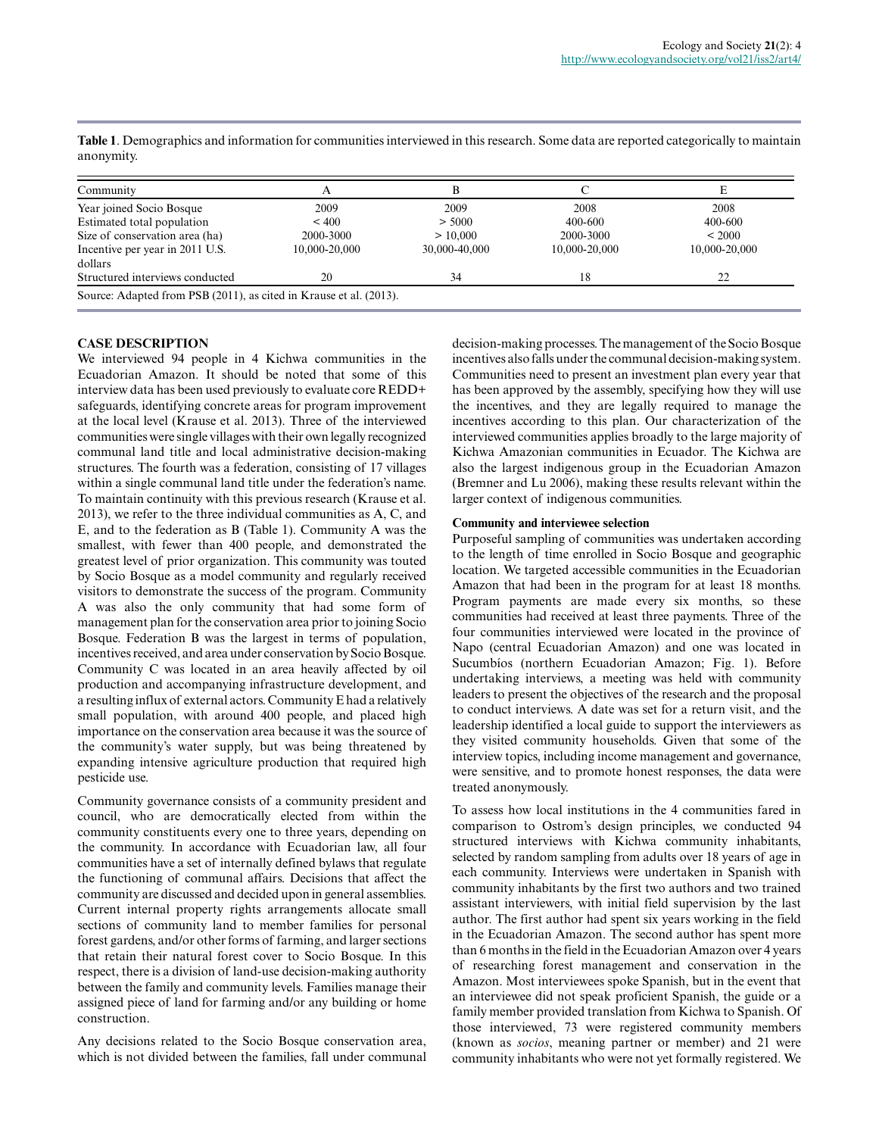| Community                                  |               |               |               |               |
|--------------------------------------------|---------------|---------------|---------------|---------------|
| Year joined Socio Bosque                   | 2009          | 2009          | 2008          | 2008          |
| Estimated total population                 | < 400         | > 5000        | 400-600       | $400 - 600$   |
| Size of conservation area (ha)             | 2000-3000     | > 10,000      | 2000-3000     | < 2000        |
| Incentive per year in 2011 U.S.<br>dollars | 10,000-20,000 | 30,000-40,000 | 10,000-20,000 | 10,000-20,000 |
| Structured interviews conducted            | 20            | 34            | 18            | 22            |

**Table 1**. Demographics and information for communities interviewed in this research. Some data are reported categorically to maintain anonymity.

#### **CASE DESCRIPTION**

We interviewed 94 people in 4 Kichwa communities in the Ecuadorian Amazon. It should be noted that some of this interview data has been used previously to evaluate core REDD+ safeguards, identifying concrete areas for program improvement at the local level (Krause et al. 2013). Three of the interviewed communities were single villages with their own legally recognized communal land title and local administrative decision-making structures. The fourth was a federation, consisting of 17 villages within a single communal land title under the federation's name. To maintain continuity with this previous research (Krause et al. 2013), we refer to the three individual communities as A, C, and E, and to the federation as B (Table 1). Community A was the smallest, with fewer than 400 people, and demonstrated the greatest level of prior organization. This community was touted by Socio Bosque as a model community and regularly received visitors to demonstrate the success of the program. Community A was also the only community that had some form of management plan for the conservation area prior to joining Socio Bosque. Federation B was the largest in terms of population, incentives received, and area under conservation by Socio Bosque. Community C was located in an area heavily affected by oil production and accompanying infrastructure development, and a resulting influx of external actors. Community E had a relatively small population, with around 400 people, and placed high importance on the conservation area because it was the source of the community's water supply, but was being threatened by expanding intensive agriculture production that required high pesticide use.

Community governance consists of a community president and council, who are democratically elected from within the community constituents every one to three years, depending on the community. In accordance with Ecuadorian law, all four communities have a set of internally defined bylaws that regulate the functioning of communal affairs. Decisions that affect the community are discussed and decided upon in general assemblies. Current internal property rights arrangements allocate small sections of community land to member families for personal forest gardens, and/or other forms of farming, and larger sections that retain their natural forest cover to Socio Bosque. In this respect, there is a division of land-use decision-making authority between the family and community levels. Families manage their assigned piece of land for farming and/or any building or home construction.

Any decisions related to the Socio Bosque conservation area, which is not divided between the families, fall under communal decision-making processes. The management of the Socio Bosque incentives also falls under the communal decision-making system. Communities need to present an investment plan every year that has been approved by the assembly, specifying how they will use the incentives, and they are legally required to manage the incentives according to this plan. Our characterization of the interviewed communities applies broadly to the large majority of Kichwa Amazonian communities in Ecuador. The Kichwa are also the largest indigenous group in the Ecuadorian Amazon (Bremner and Lu 2006), making these results relevant within the larger context of indigenous communities.

#### **Community and interviewee selection**

Purposeful sampling of communities was undertaken according to the length of time enrolled in Socio Bosque and geographic location. We targeted accessible communities in the Ecuadorian Amazon that had been in the program for at least 18 months. Program payments are made every six months, so these communities had received at least three payments. Three of the four communities interviewed were located in the province of Napo (central Ecuadorian Amazon) and one was located in Sucumbíos (northern Ecuadorian Amazon; Fig. 1). Before undertaking interviews, a meeting was held with community leaders to present the objectives of the research and the proposal to conduct interviews. A date was set for a return visit, and the leadership identified a local guide to support the interviewers as they visited community households. Given that some of the interview topics, including income management and governance, were sensitive, and to promote honest responses, the data were treated anonymously.

To assess how local institutions in the 4 communities fared in comparison to Ostrom's design principles, we conducted 94 structured interviews with Kichwa community inhabitants, selected by random sampling from adults over 18 years of age in each community. Interviews were undertaken in Spanish with community inhabitants by the first two authors and two trained assistant interviewers, with initial field supervision by the last author. The first author had spent six years working in the field in the Ecuadorian Amazon. The second author has spent more than 6 months in the field in the Ecuadorian Amazon over 4 years of researching forest management and conservation in the Amazon. Most interviewees spoke Spanish, but in the event that an interviewee did not speak proficient Spanish, the guide or a family member provided translation from Kichwa to Spanish. Of those interviewed, 73 were registered community members (known as *socios*, meaning partner or member) and 21 were community inhabitants who were not yet formally registered. We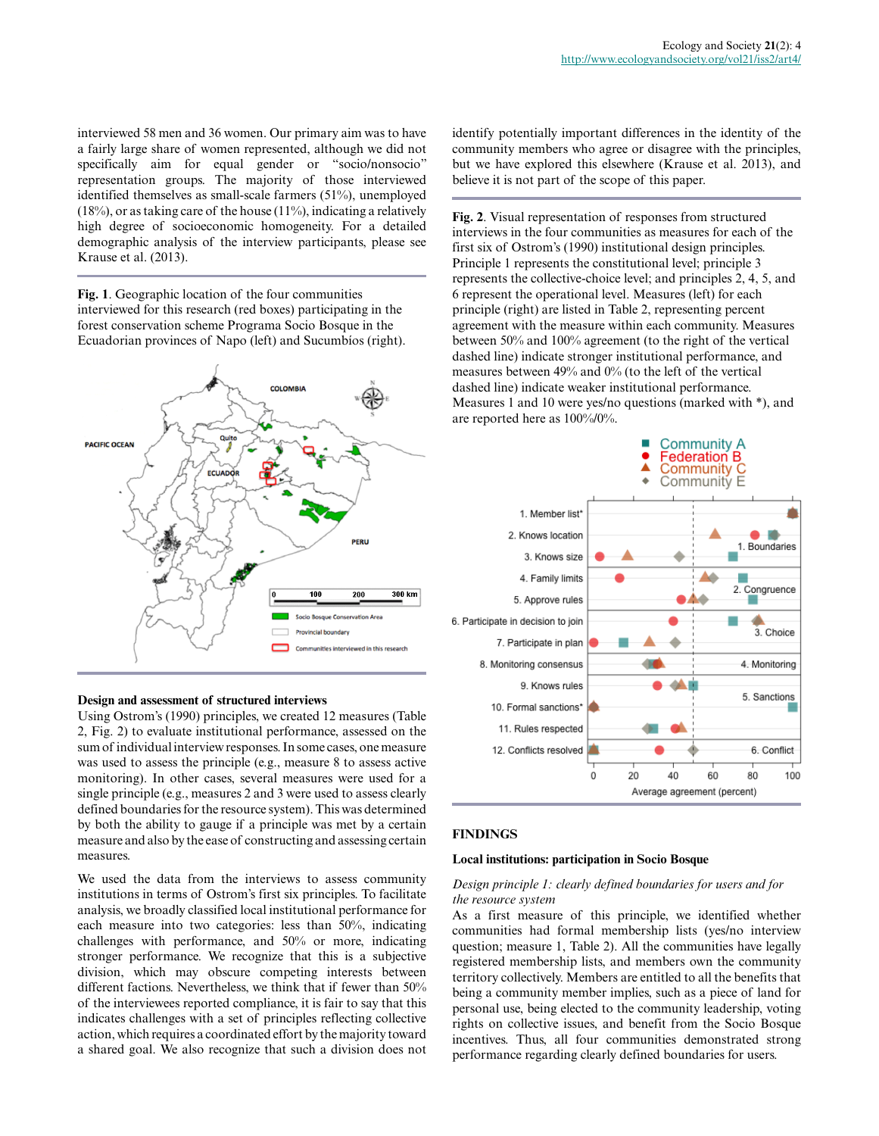interviewed 58 men and 36 women. Our primary aim was to have a fairly large share of women represented, although we did not specifically aim for equal gender or "socio/nonsocio" representation groups. The majority of those interviewed identified themselves as small-scale farmers (51%), unemployed  $(18\%)$ , or as taking care of the house  $(11\%)$ , indicating a relatively high degree of socioeconomic homogeneity. For a detailed demographic analysis of the interview participants, please see Krause et al. (2013).

**Fig. 1**. Geographic location of the four communities interviewed for this research (red boxes) participating in the forest conservation scheme Programa Socio Bosque in the Ecuadorian provinces of Napo (left) and Sucumbíos (right).



#### **Design and assessment of structured interviews**

Using Ostrom's (1990) principles, we created 12 measures (Table 2, Fig. 2) to evaluate institutional performance, assessed on the sum of individual interview responses. In some cases, one measure was used to assess the principle (e.g., measure 8 to assess active monitoring). In other cases, several measures were used for a single principle (e.g., measures 2 and 3 were used to assess clearly defined boundaries for the resource system). This was determined by both the ability to gauge if a principle was met by a certain measure and also by the ease of constructing and assessing certain measures.

We used the data from the interviews to assess community institutions in terms of Ostrom's first six principles. To facilitate analysis, we broadly classified local institutional performance for each measure into two categories: less than 50%, indicating challenges with performance, and 50% or more, indicating stronger performance. We recognize that this is a subjective division, which may obscure competing interests between different factions. Nevertheless, we think that if fewer than 50% of the interviewees reported compliance, it is fair to say that this indicates challenges with a set of principles reflecting collective action, which requires a coordinated effort by the majority toward a shared goal. We also recognize that such a division does not

identify potentially important differences in the identity of the community members who agree or disagree with the principles, but we have explored this elsewhere (Krause et al. 2013), and believe it is not part of the scope of this paper.

**Fig. 2**. Visual representation of responses from structured interviews in the four communities as measures for each of the first six of Ostrom's (1990) institutional design principles. Principle 1 represents the constitutional level; principle 3 represents the collective-choice level; and principles 2, 4, 5, and 6 represent the operational level. Measures (left) for each principle (right) are listed in Table 2, representing percent agreement with the measure within each community. Measures between 50% and 100% agreement (to the right of the vertical dashed line) indicate stronger institutional performance, and measures between 49% and 0% (to the left of the vertical dashed line) indicate weaker institutional performance. Measures 1 and 10 were yes/no questions (marked with \*), and are reported here as 100%/0%.



## **FINDINGS**

#### **Local institutions: participation in Socio Bosque**

#### *Design principle 1: clearly defined boundaries for users and for the resource system*

As a first measure of this principle, we identified whether communities had formal membership lists (yes/no interview question; measure 1, Table 2). All the communities have legally registered membership lists, and members own the community territory collectively. Members are entitled to all the benefits that being a community member implies, such as a piece of land for personal use, being elected to the community leadership, voting rights on collective issues, and benefit from the Socio Bosque incentives. Thus, all four communities demonstrated strong performance regarding clearly defined boundaries for users.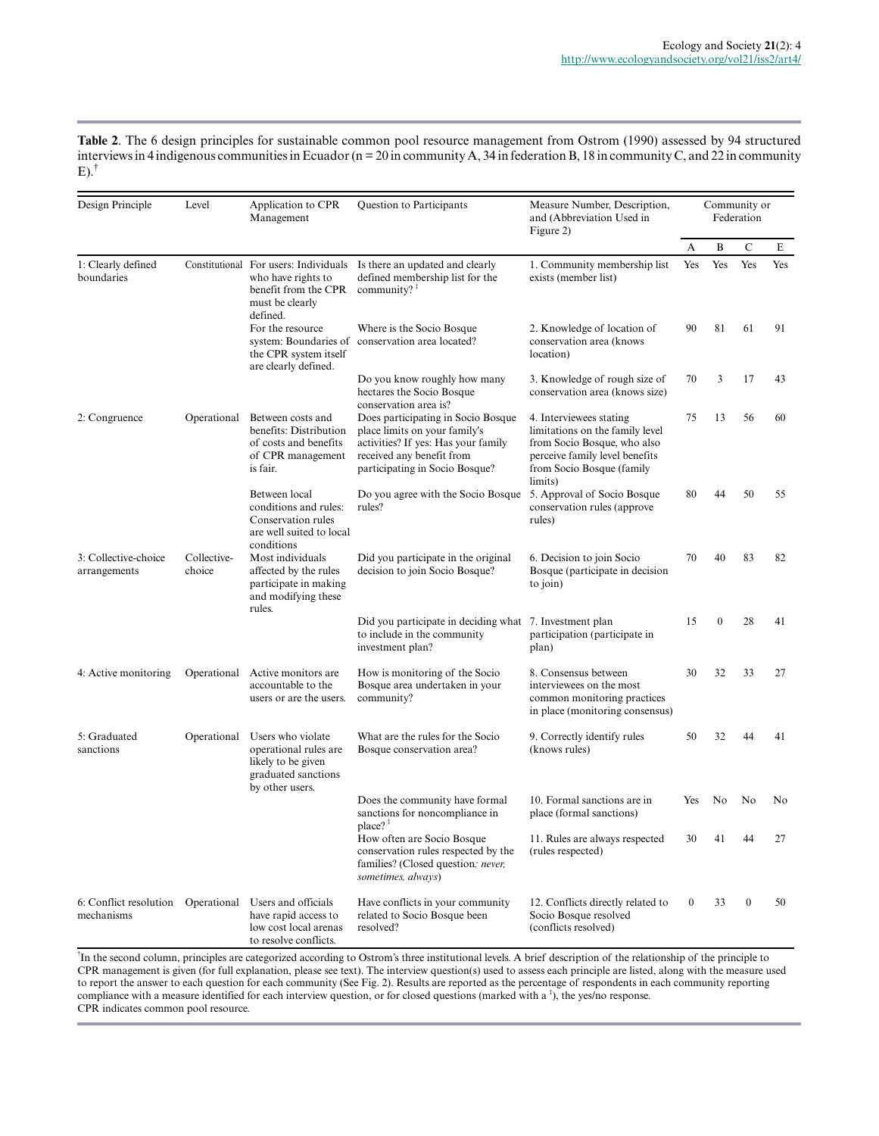**Table 2**. The 6 design principles for sustainable common pool resource management from Ostrom (1990) assessed by 94 structured interviews in 4 indigenous communities in Ecuador (n = 20 in community A, 34 in federation B, 18 in community C, and 22 in community  $E$ ).<sup>†</sup>

| Design Principle                                                     | Level                                                                                                 | Application to CPR<br>Management                                                                                                                                          | Question to Participants                                                                                                                                            | Measure Number, Description,<br>and (Abbreviation Used in<br>Figure 2)                                             | Community or<br>Federation |              |                |     |
|----------------------------------------------------------------------|-------------------------------------------------------------------------------------------------------|---------------------------------------------------------------------------------------------------------------------------------------------------------------------------|---------------------------------------------------------------------------------------------------------------------------------------------------------------------|--------------------------------------------------------------------------------------------------------------------|----------------------------|--------------|----------------|-----|
|                                                                      |                                                                                                       |                                                                                                                                                                           |                                                                                                                                                                     |                                                                                                                    | A                          | $\, {\bf B}$ | $\mathbf C$    | E   |
| 1: Clearly defined<br>boundaries                                     |                                                                                                       | Constitutional For users: Individuals<br>who have rights to<br>benefit from the CPR<br>must be clearly<br>defined.                                                        | Is there an updated and clearly<br>defined membership list for the<br>community? $\frac{1}{x}$                                                                      | 1. Community membership list<br>exists (member list)                                                               | Yes                        | Yes          | Yes            | Yes |
|                                                                      |                                                                                                       | For the resource<br>system: Boundaries of<br>the CPR system itself<br>are clearly defined.                                                                                | Where is the Socio Bosque<br>conservation area located?                                                                                                             | 2. Knowledge of location of<br>conservation area (knows<br>location)                                               | 90                         | 81           | 61             | 91  |
|                                                                      |                                                                                                       |                                                                                                                                                                           | Do you know roughly how many<br>hectares the Socio Bosque<br>conservation area is?                                                                                  | 3. Knowledge of rough size of<br>conservation area (knows size)                                                    | 70                         | 3            | 17             | 43  |
| 2: Congruence<br>Operational                                         | Between costs and<br>benefits: Distribution<br>of costs and benefits<br>of CPR management<br>is fair. | Does participating in Socio Bosque<br>place limits on your family's<br>activities? If yes: Has your family<br>received any benefit from<br>participating in Socio Bosque? | 4. Interviewees stating<br>limitations on the family level<br>from Socio Bosque, who also<br>perceive family level benefits<br>from Socio Bosque (family<br>limits) | 75                                                                                                                 | 13                         | 56           | 60             |     |
|                                                                      |                                                                                                       | Between local<br>conditions and rules:<br>Conservation rules<br>are well suited to local<br>conditions                                                                    | Do you agree with the Socio Bosque<br>rules?                                                                                                                        | 5. Approval of Socio Bosque<br>conservation rules (approve<br>rules)                                               | 80                         | 44           | 50             | 55  |
| 3: Collective-choice<br>arrangements                                 | Collective-<br>choice                                                                                 | Most individuals<br>affected by the rules<br>participate in making<br>and modifying these<br>rules.                                                                       | Did you participate in the original<br>decision to join Socio Bosque?                                                                                               | 6. Decision to join Socio<br>Bosque (participate in decision<br>to join)                                           | 70                         | 40           | 83             | 82  |
|                                                                      |                                                                                                       |                                                                                                                                                                           | Did you participate in deciding what 7. Investment plan<br>to include in the community<br>investment plan?                                                          | participation (participate in<br>plan)                                                                             | 15                         | $\mathbf{0}$ | 28             | 41  |
| 4: Active monitoring                                                 |                                                                                                       | Operational Active monitors are<br>accountable to the<br>users or are the users.                                                                                          | How is monitoring of the Socio<br>Bosque area undertaken in your<br>community?                                                                                      | 8. Consensus between<br>interviewees on the most<br>common monitoring practices<br>in place (monitoring consensus) | 30                         | 32           | 33             | 27  |
| 5: Graduated<br>sanctions                                            | Operational                                                                                           | Users who violate<br>operational rules are<br>likely to be given<br>graduated sanctions<br>by other users.                                                                | What are the rules for the Socio<br>Bosque conservation area?                                                                                                       | 9. Correctly identify rules<br>(knows rules)                                                                       | 50                         | 32           | 44             | 41  |
|                                                                      |                                                                                                       |                                                                                                                                                                           | Does the community have formal<br>sanctions for noncompliance in<br>place? <sup>1</sup>                                                                             | 10. Formal sanctions are in<br>place (formal sanctions)                                                            | Yes                        | No           | No             | No  |
|                                                                      |                                                                                                       |                                                                                                                                                                           | How often are Socio Bosque<br>conservation rules respected by the<br>families? (Closed question: never,<br>sometimes, always)                                       | 11. Rules are always respected<br>(rules respected)                                                                | 30                         | 41           | 44             | 27  |
| 6: Conflict resolution Operational Users and officials<br>mechanisms |                                                                                                       | have rapid access to<br>low cost local arenas<br>to resolve conflicts.                                                                                                    | Have conflicts in your community<br>related to Socio Bosque been<br>resolved?                                                                                       | 12. Conflicts directly related to<br>Socio Bosque resolved<br>(conflicts resolved)                                 | $\mathbf{0}$               | 33           | $\overline{0}$ | 50  |

<sup>†</sup>In the second column, principles are categorized according to Ostrom's three institutional levels. A brief description of the relationship of the principle to CPR management is given (for full explanation, please see text). The interview question(s) used to assess each principle are listed, along with the measure used to report the answer to each question for each community (See Fig. 2). Results are reported as the percentage of respondents in each community reporting compliance with a measure identified for each interview question, or for closed questions (marked with a  $\dot{\,}$ ), the yes/no response. CPR indicates common pool resource.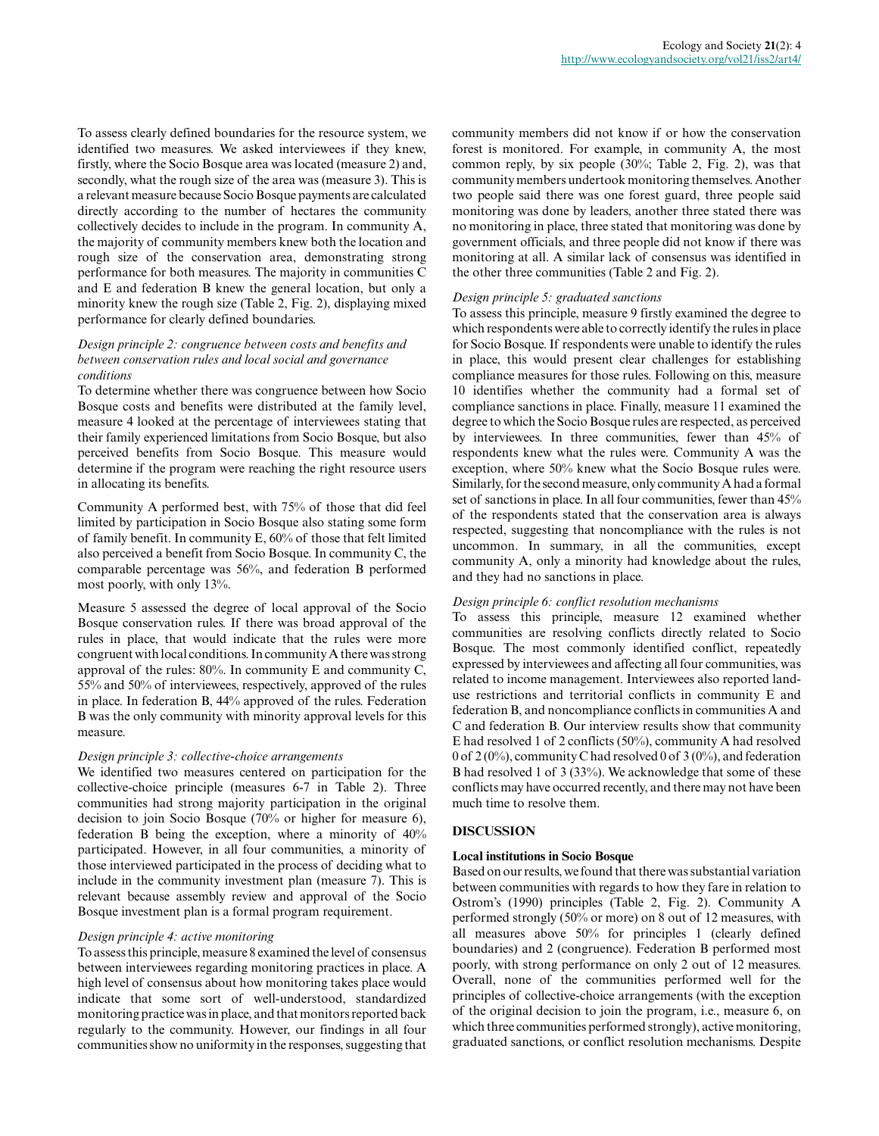To assess clearly defined boundaries for the resource system, we identified two measures. We asked interviewees if they knew, firstly, where the Socio Bosque area was located (measure 2) and, secondly, what the rough size of the area was (measure 3). This is a relevant measure because Socio Bosque payments are calculated directly according to the number of hectares the community collectively decides to include in the program. In community A, the majority of community members knew both the location and rough size of the conservation area, demonstrating strong performance for both measures. The majority in communities C and E and federation B knew the general location, but only a minority knew the rough size (Table 2, Fig. 2), displaying mixed performance for clearly defined boundaries.

### *Design principle 2: congruence between costs and benefits and between conservation rules and local social and governance conditions*

To determine whether there was congruence between how Socio Bosque costs and benefits were distributed at the family level, measure 4 looked at the percentage of interviewees stating that their family experienced limitations from Socio Bosque, but also perceived benefits from Socio Bosque. This measure would determine if the program were reaching the right resource users in allocating its benefits.

Community A performed best, with 75% of those that did feel limited by participation in Socio Bosque also stating some form of family benefit. In community E, 60% of those that felt limited also perceived a benefit from Socio Bosque. In community C, the comparable percentage was 56%, and federation B performed most poorly, with only 13%.

Measure 5 assessed the degree of local approval of the Socio Bosque conservation rules. If there was broad approval of the rules in place, that would indicate that the rules were more congruent with local conditions. In community A there was strong approval of the rules: 80%. In community E and community C, 55% and 50% of interviewees, respectively, approved of the rules in place. In federation B, 44% approved of the rules. Federation B was the only community with minority approval levels for this measure.

## *Design principle 3: collective-choice arrangements*

We identified two measures centered on participation for the collective-choice principle (measures 6-7 in Table 2). Three communities had strong majority participation in the original decision to join Socio Bosque (70% or higher for measure 6), federation B being the exception, where a minority of 40% participated. However, in all four communities, a minority of those interviewed participated in the process of deciding what to include in the community investment plan (measure 7). This is relevant because assembly review and approval of the Socio Bosque investment plan is a formal program requirement.

#### *Design principle 4: active monitoring*

To assess this principle, measure 8 examined the level of consensus between interviewees regarding monitoring practices in place. A high level of consensus about how monitoring takes place would indicate that some sort of well-understood, standardized monitoring practice was in place, and that monitors reported back regularly to the community. However, our findings in all four communities show no uniformity in the responses, suggesting that

community members did not know if or how the conservation forest is monitored. For example, in community A, the most common reply, by six people (30%; Table 2, Fig. 2), was that community members undertook monitoring themselves. Another two people said there was one forest guard, three people said monitoring was done by leaders, another three stated there was no monitoring in place, three stated that monitoring was done by government officials, and three people did not know if there was monitoring at all. A similar lack of consensus was identified in the other three communities (Table 2 and Fig. 2).

## *Design principle 5: graduated sanctions*

To assess this principle, measure 9 firstly examined the degree to which respondents were able to correctly identify the rules in place for Socio Bosque. If respondents were unable to identify the rules in place, this would present clear challenges for establishing compliance measures for those rules. Following on this, measure 10 identifies whether the community had a formal set of compliance sanctions in place. Finally, measure 11 examined the degree to which the Socio Bosque rules are respected, as perceived by interviewees. In three communities, fewer than 45% of respondents knew what the rules were. Community A was the exception, where 50% knew what the Socio Bosque rules were. Similarly, for the second measure, only community A had a formal set of sanctions in place. In all four communities, fewer than 45% of the respondents stated that the conservation area is always respected, suggesting that noncompliance with the rules is not uncommon. In summary, in all the communities, except community A, only a minority had knowledge about the rules, and they had no sanctions in place.

#### *Design principle 6: conflict resolution mechanisms*

To assess this principle, measure 12 examined whether communities are resolving conflicts directly related to Socio Bosque. The most commonly identified conflict, repeatedly expressed by interviewees and affecting all four communities, was related to income management. Interviewees also reported landuse restrictions and territorial conflicts in community E and federation B, and noncompliance conflicts in communities A and C and federation B. Our interview results show that community E had resolved 1 of 2 conflicts (50%), community A had resolved 0 of 2 (0%), community C had resolved 0 of 3 (0%), and federation B had resolved 1 of 3 (33%). We acknowledge that some of these conflicts may have occurred recently, and there may not have been much time to resolve them.

## **DISCUSSION**

## **Local institutions in Socio Bosque**

Based on our results, we found that there was substantial variation between communities with regards to how they fare in relation to Ostrom's (1990) principles (Table 2, Fig. 2). Community A performed strongly (50% or more) on 8 out of 12 measures, with all measures above 50% for principles 1 (clearly defined boundaries) and 2 (congruence). Federation B performed most poorly, with strong performance on only 2 out of 12 measures. Overall, none of the communities performed well for the principles of collective-choice arrangements (with the exception of the original decision to join the program, i.e., measure 6, on which three communities performed strongly), active monitoring, graduated sanctions, or conflict resolution mechanisms. Despite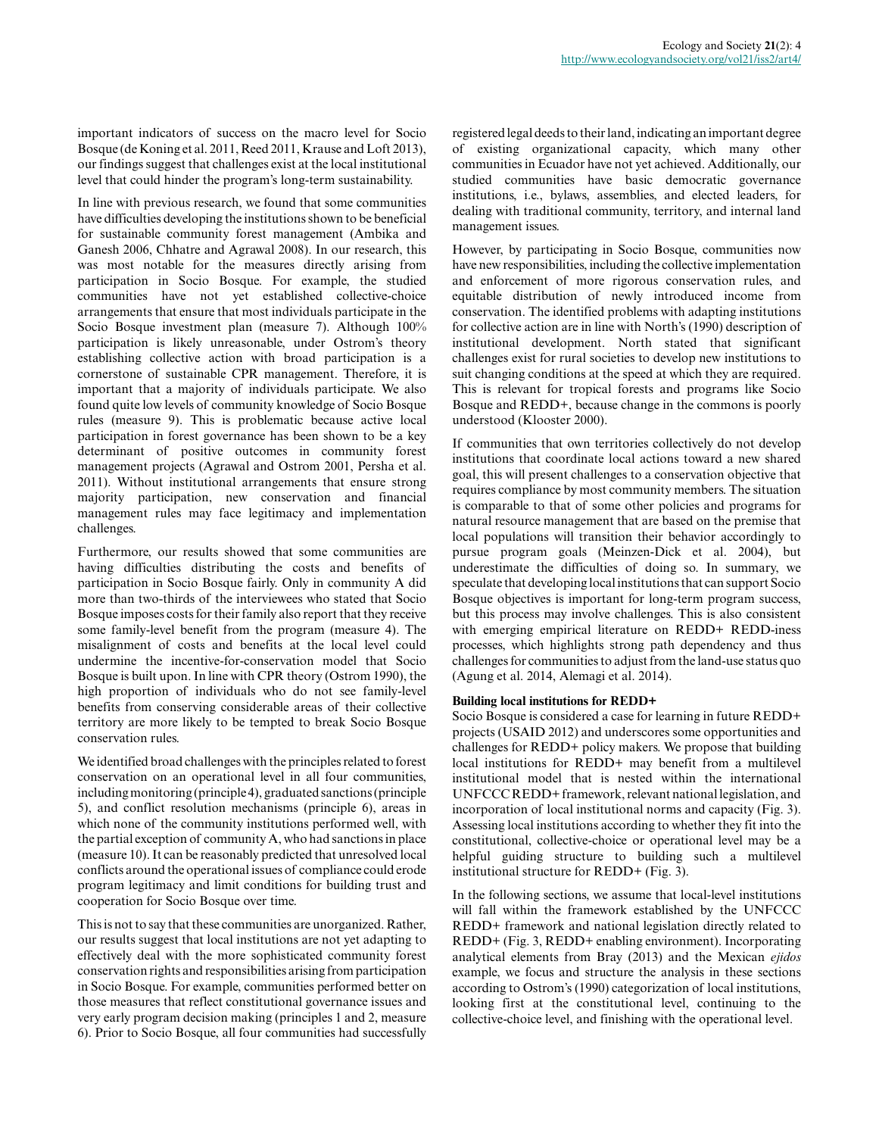important indicators of success on the macro level for Socio Bosque (de Koning et al. 2011, Reed 2011, Krause and Loft 2013), our findings suggest that challenges exist at the local institutional level that could hinder the program's long-term sustainability.

In line with previous research, we found that some communities have difficulties developing the institutions shown to be beneficial for sustainable community forest management (Ambika and Ganesh 2006, Chhatre and Agrawal 2008). In our research, this was most notable for the measures directly arising from participation in Socio Bosque. For example, the studied communities have not yet established collective-choice arrangements that ensure that most individuals participate in the Socio Bosque investment plan (measure 7). Although 100% participation is likely unreasonable, under Ostrom's theory establishing collective action with broad participation is a cornerstone of sustainable CPR management. Therefore, it is important that a majority of individuals participate. We also found quite low levels of community knowledge of Socio Bosque rules (measure 9). This is problematic because active local participation in forest governance has been shown to be a key determinant of positive outcomes in community forest management projects (Agrawal and Ostrom 2001, Persha et al. 2011). Without institutional arrangements that ensure strong majority participation, new conservation and financial management rules may face legitimacy and implementation challenges.

Furthermore, our results showed that some communities are having difficulties distributing the costs and benefits of participation in Socio Bosque fairly. Only in community A did more than two-thirds of the interviewees who stated that Socio Bosque imposes costs for their family also report that they receive some family-level benefit from the program (measure 4). The misalignment of costs and benefits at the local level could undermine the incentive-for-conservation model that Socio Bosque is built upon. In line with CPR theory (Ostrom 1990), the high proportion of individuals who do not see family-level benefits from conserving considerable areas of their collective territory are more likely to be tempted to break Socio Bosque conservation rules.

We identified broad challenges with the principles related to forest conservation on an operational level in all four communities, including monitoring (principle 4), graduated sanctions (principle 5), and conflict resolution mechanisms (principle 6), areas in which none of the community institutions performed well, with the partial exception of community A, who had sanctions in place (measure 10). It can be reasonably predicted that unresolved local conflicts around the operational issues of compliance could erode program legitimacy and limit conditions for building trust and cooperation for Socio Bosque over time.

This is not to say that these communities are unorganized. Rather, our results suggest that local institutions are not yet adapting to effectively deal with the more sophisticated community forest conservation rights and responsibilities arising from participation in Socio Bosque. For example, communities performed better on those measures that reflect constitutional governance issues and very early program decision making (principles 1 and 2, measure 6). Prior to Socio Bosque, all four communities had successfully registered legal deeds to their land, indicating an important degree of existing organizational capacity, which many other communities in Ecuador have not yet achieved. Additionally, our studied communities have basic democratic governance institutions, i.e., bylaws, assemblies, and elected leaders, for dealing with traditional community, territory, and internal land management issues.

However, by participating in Socio Bosque, communities now have new responsibilities, including the collective implementation and enforcement of more rigorous conservation rules, and equitable distribution of newly introduced income from conservation. The identified problems with adapting institutions for collective action are in line with North's (1990) description of institutional development. North stated that significant challenges exist for rural societies to develop new institutions to suit changing conditions at the speed at which they are required. This is relevant for tropical forests and programs like Socio Bosque and REDD+, because change in the commons is poorly understood (Klooster 2000).

If communities that own territories collectively do not develop institutions that coordinate local actions toward a new shared goal, this will present challenges to a conservation objective that requires compliance by most community members. The situation is comparable to that of some other policies and programs for natural resource management that are based on the premise that local populations will transition their behavior accordingly to pursue program goals (Meinzen-Dick et al. 2004), but underestimate the difficulties of doing so. In summary, we speculate that developing local institutions that can support Socio Bosque objectives is important for long-term program success, but this process may involve challenges. This is also consistent with emerging empirical literature on REDD+ REDD-iness processes, which highlights strong path dependency and thus challenges for communities to adjust from the land-use status quo (Agung et al. 2014, Alemagi et al. 2014).

#### **Building local institutions for REDD+**

Socio Bosque is considered a case for learning in future REDD+ projects (USAID 2012) and underscores some opportunities and challenges for REDD+ policy makers. We propose that building local institutions for REDD+ may benefit from a multilevel institutional model that is nested within the international UNFCCC REDD+ framework, relevant national legislation, and incorporation of local institutional norms and capacity (Fig. 3). Assessing local institutions according to whether they fit into the constitutional, collective-choice or operational level may be a helpful guiding structure to building such a multilevel institutional structure for REDD+ (Fig. 3).

In the following sections, we assume that local-level institutions will fall within the framework established by the UNFCCC REDD+ framework and national legislation directly related to REDD+ (Fig. 3, REDD+ enabling environment). Incorporating analytical elements from Bray (2013) and the Mexican *ejidos* example, we focus and structure the analysis in these sections according to Ostrom's (1990) categorization of local institutions, looking first at the constitutional level, continuing to the collective-choice level, and finishing with the operational level.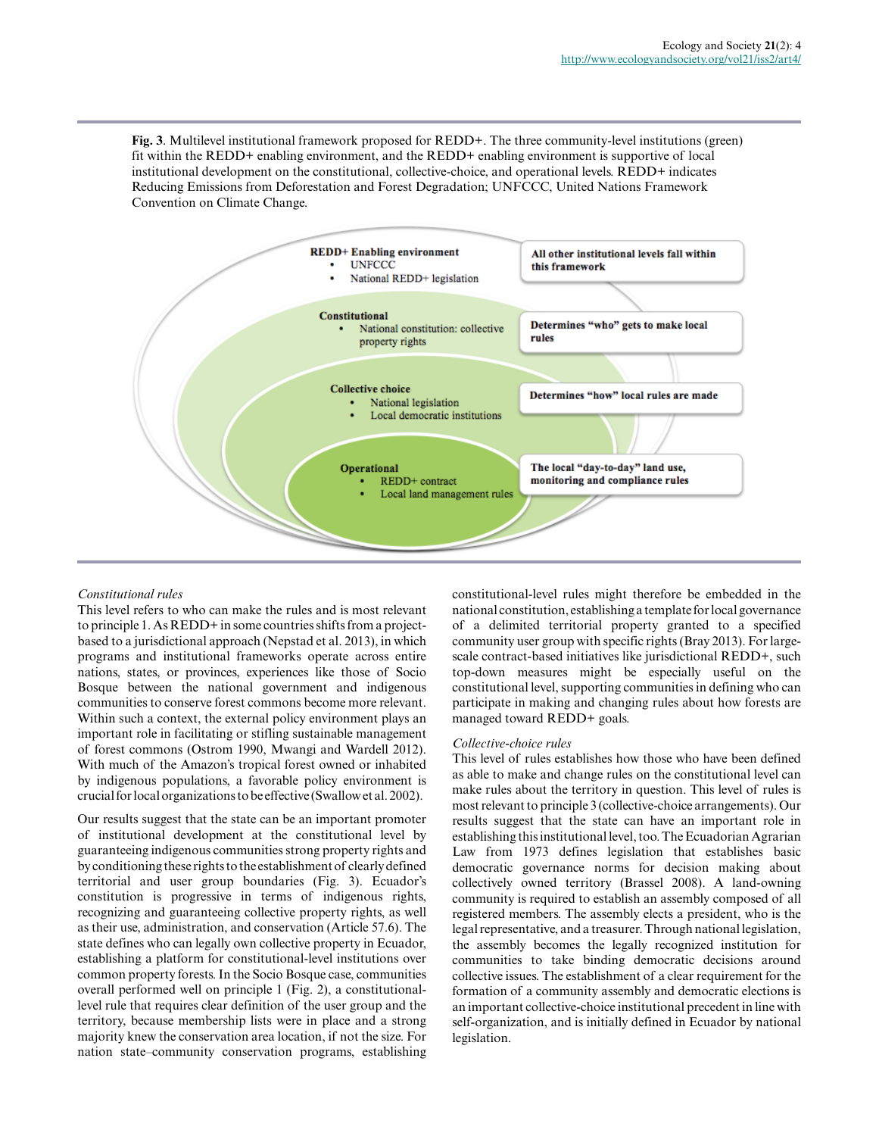**Fig. 3**. Multilevel institutional framework proposed for REDD+. The three community-level institutions (green) fit within the REDD+ enabling environment, and the REDD+ enabling environment is supportive of local institutional development on the constitutional, collective-choice, and operational levels. REDD+ indicates Reducing Emissions from Deforestation and Forest Degradation; UNFCCC, United Nations Framework Convention on Climate Change.



## *Constitutional rules*

This level refers to who can make the rules and is most relevant to principle 1. As REDD+ in some countries shifts from a projectbased to a jurisdictional approach (Nepstad et al. 2013), in which programs and institutional frameworks operate across entire nations, states, or provinces, experiences like those of Socio Bosque between the national government and indigenous communities to conserve forest commons become more relevant. Within such a context, the external policy environment plays an important role in facilitating or stifling sustainable management of forest commons (Ostrom 1990, Mwangi and Wardell 2012). With much of the Amazon's tropical forest owned or inhabited by indigenous populations, a favorable policy environment is crucial for local organizations to be effective (Swallow et al. 2002).

Our results suggest that the state can be an important promoter of institutional development at the constitutional level by guaranteeing indigenous communities strong property rights and by conditioning these rights to the establishment of clearly defined territorial and user group boundaries (Fig. 3). Ecuador's constitution is progressive in terms of indigenous rights, recognizing and guaranteeing collective property rights, as well as their use, administration, and conservation (Article 57.6). The state defines who can legally own collective property in Ecuador, establishing a platform for constitutional-level institutions over common property forests. In the Socio Bosque case, communities overall performed well on principle 1 (Fig. 2), a constitutionallevel rule that requires clear definition of the user group and the territory, because membership lists were in place and a strong majority knew the conservation area location, if not the size. For nation state–community conservation programs, establishing

constitutional-level rules might therefore be embedded in the national constitution, establishing a template for local governance of a delimited territorial property granted to a specified community user group with specific rights (Bray 2013). For largescale contract-based initiatives like jurisdictional REDD+, such top-down measures might be especially useful on the constitutional level, supporting communities in defining who can participate in making and changing rules about how forests are managed toward REDD+ goals.

## *Collective-choice rules*

This level of rules establishes how those who have been defined as able to make and change rules on the constitutional level can make rules about the territory in question. This level of rules is most relevant to principle 3 (collective-choice arrangements). Our results suggest that the state can have an important role in establishing this institutional level, too. The Ecuadorian Agrarian Law from 1973 defines legislation that establishes basic democratic governance norms for decision making about collectively owned territory (Brassel 2008). A land-owning community is required to establish an assembly composed of all registered members. The assembly elects a president, who is the legal representative, and a treasurer. Through national legislation, the assembly becomes the legally recognized institution for communities to take binding democratic decisions around collective issues. The establishment of a clear requirement for the formation of a community assembly and democratic elections is an important collective-choice institutional precedent in line with self-organization, and is initially defined in Ecuador by national legislation.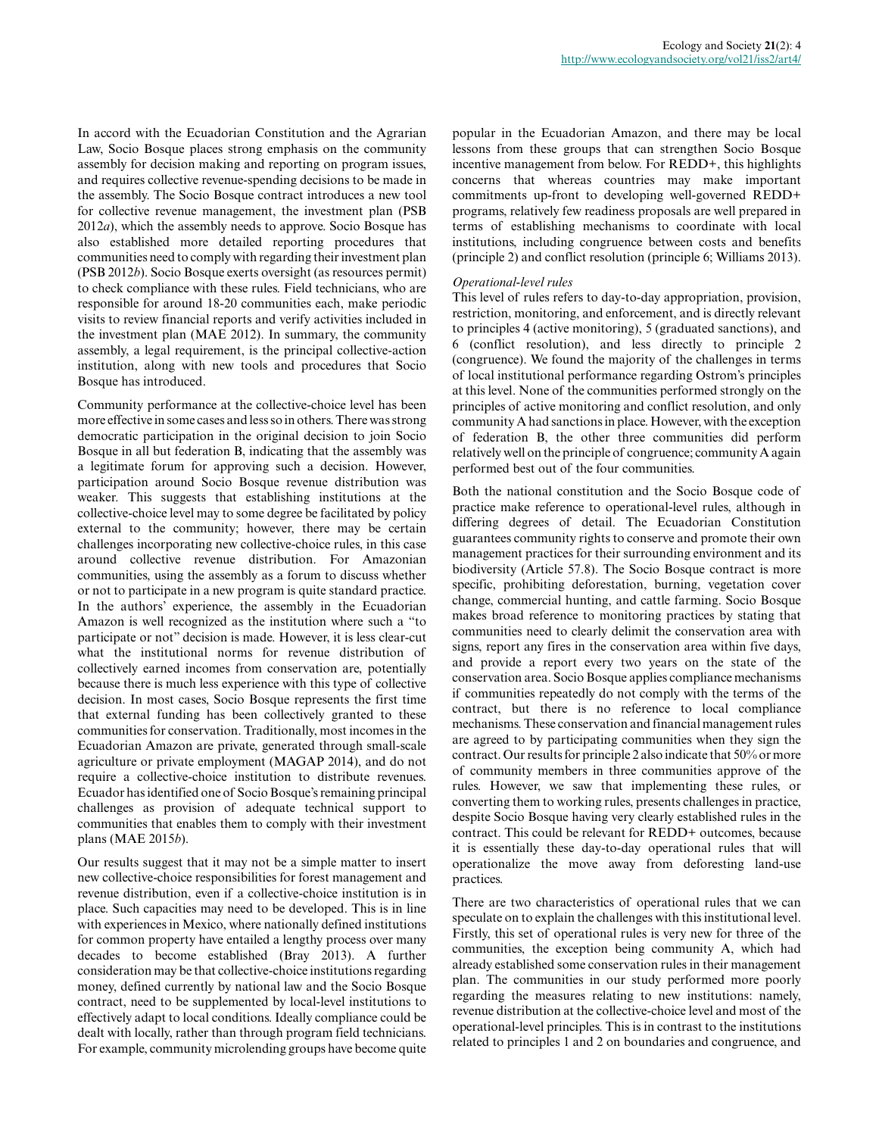In accord with the Ecuadorian Constitution and the Agrarian Law, Socio Bosque places strong emphasis on the community assembly for decision making and reporting on program issues, and requires collective revenue-spending decisions to be made in the assembly. The Socio Bosque contract introduces a new tool for collective revenue management, the investment plan (PSB 2012*a*), which the assembly needs to approve. Socio Bosque has also established more detailed reporting procedures that communities need to comply with regarding their investment plan (PSB 2012*b*). Socio Bosque exerts oversight (as resources permit) to check compliance with these rules. Field technicians, who are responsible for around 18-20 communities each, make periodic visits to review financial reports and verify activities included in the investment plan (MAE 2012). In summary, the community assembly, a legal requirement, is the principal collective-action institution, along with new tools and procedures that Socio Bosque has introduced.

Community performance at the collective-choice level has been more effective in some cases and less so in others. There was strong democratic participation in the original decision to join Socio Bosque in all but federation B, indicating that the assembly was a legitimate forum for approving such a decision. However, participation around Socio Bosque revenue distribution was weaker. This suggests that establishing institutions at the collective-choice level may to some degree be facilitated by policy external to the community; however, there may be certain challenges incorporating new collective-choice rules, in this case around collective revenue distribution. For Amazonian communities, using the assembly as a forum to discuss whether or not to participate in a new program is quite standard practice. In the authors' experience, the assembly in the Ecuadorian Amazon is well recognized as the institution where such a "to participate or not" decision is made. However, it is less clear-cut what the institutional norms for revenue distribution of collectively earned incomes from conservation are, potentially because there is much less experience with this type of collective decision. In most cases, Socio Bosque represents the first time that external funding has been collectively granted to these communities for conservation. Traditionally, most incomes in the Ecuadorian Amazon are private, generated through small-scale agriculture or private employment (MAGAP 2014), and do not require a collective-choice institution to distribute revenues. Ecuador has identified one of Socio Bosque's remaining principal challenges as provision of adequate technical support to communities that enables them to comply with their investment plans (MAE 2015*b*).

Our results suggest that it may not be a simple matter to insert new collective-choice responsibilities for forest management and revenue distribution, even if a collective-choice institution is in place. Such capacities may need to be developed. This is in line with experiences in Mexico, where nationally defined institutions for common property have entailed a lengthy process over many decades to become established (Bray 2013). A further consideration may be that collective-choice institutions regarding money, defined currently by national law and the Socio Bosque contract, need to be supplemented by local-level institutions to effectively adapt to local conditions. Ideally compliance could be dealt with locally, rather than through program field technicians. For example, community microlending groups have become quite

popular in the Ecuadorian Amazon, and there may be local lessons from these groups that can strengthen Socio Bosque incentive management from below. For REDD+, this highlights concerns that whereas countries may make important commitments up-front to developing well-governed REDD+ programs, relatively few readiness proposals are well prepared in terms of establishing mechanisms to coordinate with local institutions, including congruence between costs and benefits (principle 2) and conflict resolution (principle 6; Williams 2013).

### *Operational-level rules*

This level of rules refers to day-to-day appropriation, provision, restriction, monitoring, and enforcement, and is directly relevant to principles 4 (active monitoring), 5 (graduated sanctions), and 6 (conflict resolution), and less directly to principle 2 (congruence). We found the majority of the challenges in terms of local institutional performance regarding Ostrom's principles at this level. None of the communities performed strongly on the principles of active monitoring and conflict resolution, and only community A had sanctions in place. However, with the exception of federation B, the other three communities did perform relatively well on the principle of congruence; community A again performed best out of the four communities.

Both the national constitution and the Socio Bosque code of practice make reference to operational-level rules, although in differing degrees of detail. The Ecuadorian Constitution guarantees community rights to conserve and promote their own management practices for their surrounding environment and its biodiversity (Article 57.8). The Socio Bosque contract is more specific, prohibiting deforestation, burning, vegetation cover change, commercial hunting, and cattle farming. Socio Bosque makes broad reference to monitoring practices by stating that communities need to clearly delimit the conservation area with signs, report any fires in the conservation area within five days, and provide a report every two years on the state of the conservation area. Socio Bosque applies compliance mechanisms if communities repeatedly do not comply with the terms of the contract, but there is no reference to local compliance mechanisms. These conservation and financial management rules are agreed to by participating communities when they sign the contract. Our results for principle 2 also indicate that 50% or more of community members in three communities approve of the rules. However, we saw that implementing these rules, or converting them to working rules, presents challenges in practice, despite Socio Bosque having very clearly established rules in the contract. This could be relevant for REDD+ outcomes, because it is essentially these day-to-day operational rules that will operationalize the move away from deforesting land-use practices.

There are two characteristics of operational rules that we can speculate on to explain the challenges with this institutional level. Firstly, this set of operational rules is very new for three of the communities, the exception being community A, which had already established some conservation rules in their management plan. The communities in our study performed more poorly regarding the measures relating to new institutions: namely, revenue distribution at the collective-choice level and most of the operational-level principles. This is in contrast to the institutions related to principles 1 and 2 on boundaries and congruence, and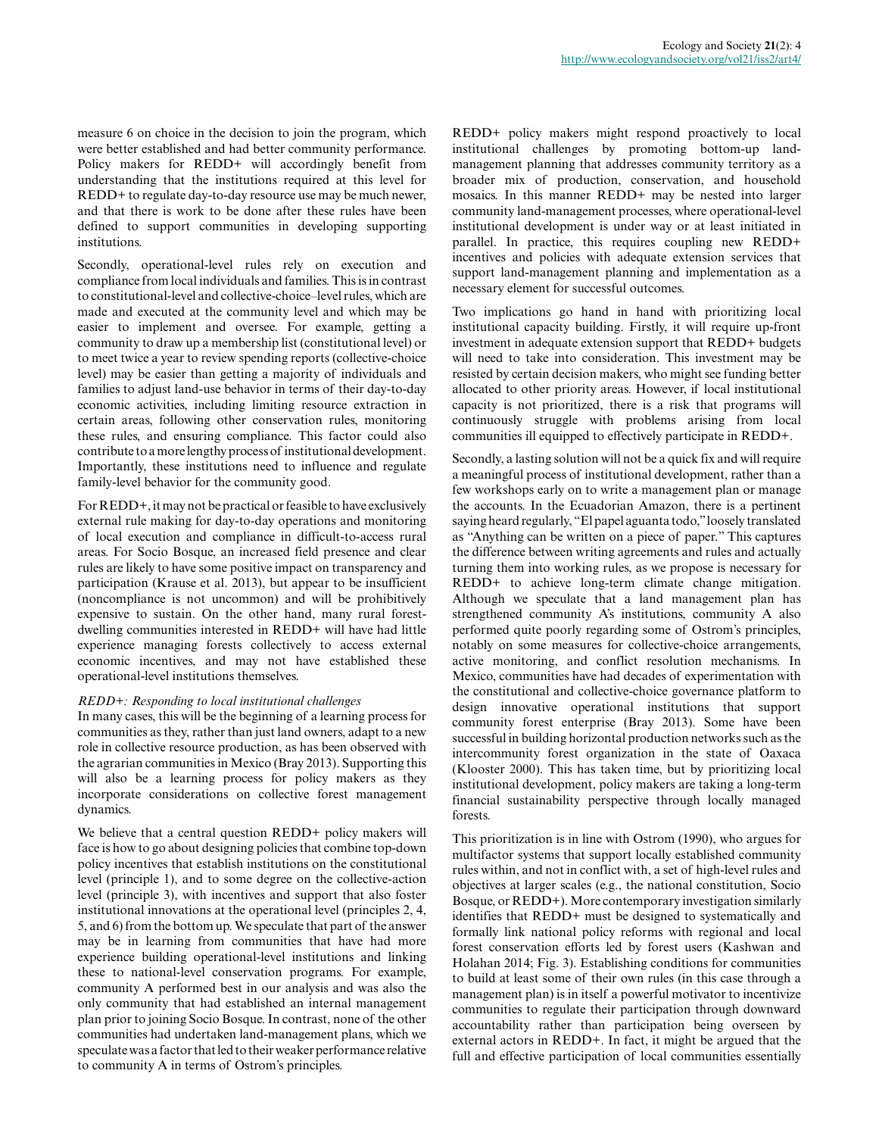measure 6 on choice in the decision to join the program, which were better established and had better community performance. Policy makers for REDD+ will accordingly benefit from understanding that the institutions required at this level for REDD+ to regulate day-to-day resource use may be much newer, and that there is work to be done after these rules have been defined to support communities in developing supporting institutions.

Secondly, operational-level rules rely on execution and compliance from local individuals and families. This is in contrast to constitutional-level and collective-choice–level rules, which are made and executed at the community level and which may be easier to implement and oversee. For example, getting a community to draw up a membership list (constitutional level) or to meet twice a year to review spending reports (collective-choice level) may be easier than getting a majority of individuals and families to adjust land-use behavior in terms of their day-to-day economic activities, including limiting resource extraction in certain areas, following other conservation rules, monitoring these rules, and ensuring compliance. This factor could also contribute to a more lengthy process of institutional development. Importantly, these institutions need to influence and regulate family-level behavior for the community good.

For REDD+, it may not be practical or feasible to have exclusively external rule making for day-to-day operations and monitoring of local execution and compliance in difficult-to-access rural areas. For Socio Bosque, an increased field presence and clear rules are likely to have some positive impact on transparency and participation (Krause et al. 2013), but appear to be insufficient (noncompliance is not uncommon) and will be prohibitively expensive to sustain. On the other hand, many rural forestdwelling communities interested in REDD+ will have had little experience managing forests collectively to access external economic incentives, and may not have established these operational-level institutions themselves.

#### *REDD+: Responding to local institutional challenges*

In many cases, this will be the beginning of a learning process for communities as they, rather than just land owners, adapt to a new role in collective resource production, as has been observed with the agrarian communities in Mexico (Bray 2013). Supporting this will also be a learning process for policy makers as they incorporate considerations on collective forest management dynamics.

We believe that a central question REDD+ policy makers will face is how to go about designing policies that combine top-down policy incentives that establish institutions on the constitutional level (principle 1), and to some degree on the collective-action level (principle 3), with incentives and support that also foster institutional innovations at the operational level (principles 2, 4, 5, and 6) from the bottom up. We speculate that part of the answer may be in learning from communities that have had more experience building operational-level institutions and linking these to national-level conservation programs. For example, community A performed best in our analysis and was also the only community that had established an internal management plan prior to joining Socio Bosque. In contrast, none of the other communities had undertaken land-management plans, which we speculate was a factor that led to their weaker performance relative to community A in terms of Ostrom's principles.

REDD+ policy makers might respond proactively to local institutional challenges by promoting bottom-up landmanagement planning that addresses community territory as a broader mix of production, conservation, and household mosaics. In this manner REDD+ may be nested into larger community land-management processes, where operational-level institutional development is under way or at least initiated in parallel. In practice, this requires coupling new REDD+ incentives and policies with adequate extension services that support land-management planning and implementation as a necessary element for successful outcomes.

Two implications go hand in hand with prioritizing local institutional capacity building. Firstly, it will require up-front investment in adequate extension support that REDD+ budgets will need to take into consideration. This investment may be resisted by certain decision makers, who might see funding better allocated to other priority areas. However, if local institutional capacity is not prioritized, there is a risk that programs will continuously struggle with problems arising from local communities ill equipped to effectively participate in REDD+.

Secondly, a lasting solution will not be a quick fix and will require a meaningful process of institutional development, rather than a few workshops early on to write a management plan or manage the accounts. In the Ecuadorian Amazon, there is a pertinent saying heard regularly, "El papel aguanta todo," loosely translated as "Anything can be written on a piece of paper." This captures the difference between writing agreements and rules and actually turning them into working rules, as we propose is necessary for REDD+ to achieve long-term climate change mitigation. Although we speculate that a land management plan has strengthened community A's institutions, community A also performed quite poorly regarding some of Ostrom's principles, notably on some measures for collective-choice arrangements, active monitoring, and conflict resolution mechanisms. In Mexico, communities have had decades of experimentation with the constitutional and collective-choice governance platform to design innovative operational institutions that support community forest enterprise (Bray 2013). Some have been successful in building horizontal production networks such as the intercommunity forest organization in the state of Oaxaca (Klooster 2000). This has taken time, but by prioritizing local institutional development, policy makers are taking a long-term financial sustainability perspective through locally managed forests.

This prioritization is in line with Ostrom (1990), who argues for multifactor systems that support locally established community rules within, and not in conflict with, a set of high-level rules and objectives at larger scales (e.g., the national constitution, Socio Bosque, or REDD+). More contemporary investigation similarly identifies that REDD+ must be designed to systematically and formally link national policy reforms with regional and local forest conservation efforts led by forest users (Kashwan and Holahan 2014; Fig. 3). Establishing conditions for communities to build at least some of their own rules (in this case through a management plan) is in itself a powerful motivator to incentivize communities to regulate their participation through downward accountability rather than participation being overseen by external actors in REDD+. In fact, it might be argued that the full and effective participation of local communities essentially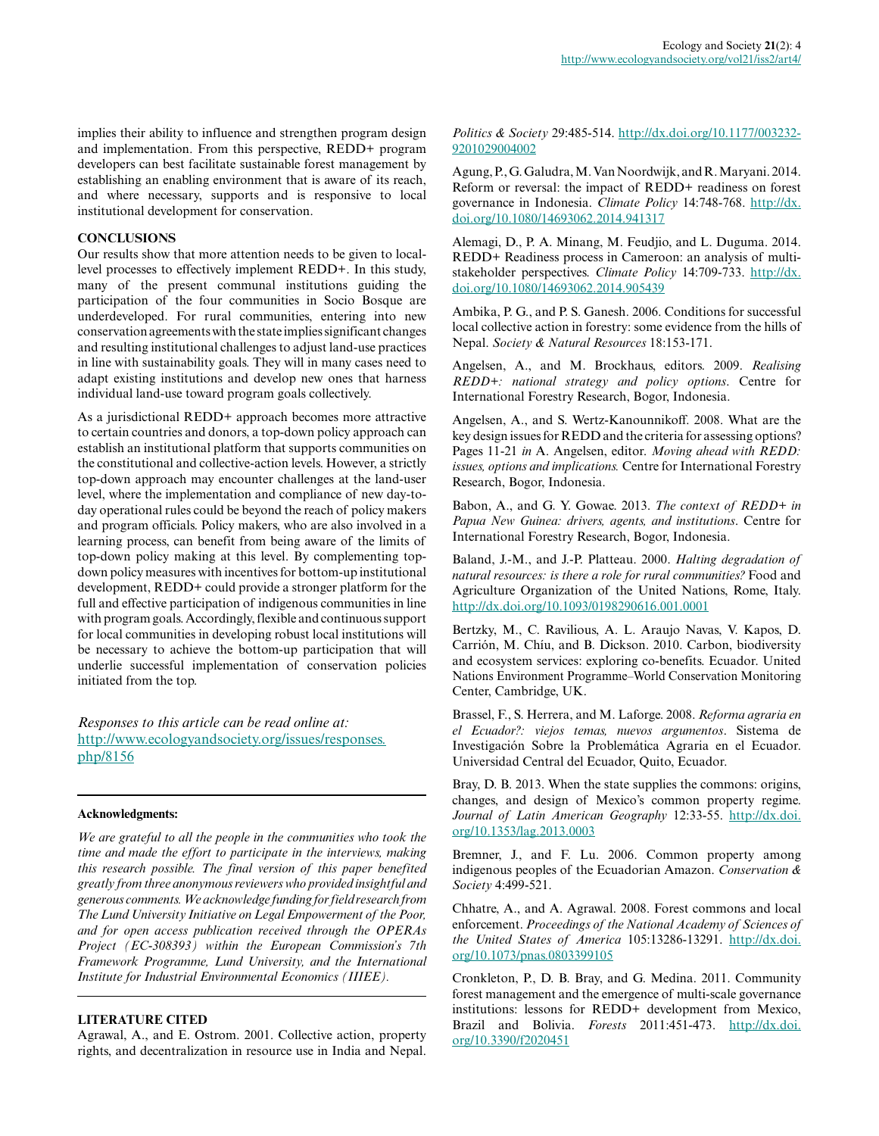implies their ability to influence and strengthen program design and implementation. From this perspective, REDD+ program developers can best facilitate sustainable forest management by establishing an enabling environment that is aware of its reach, and where necessary, supports and is responsive to local institutional development for conservation.

## **CONCLUSIONS**

Our results show that more attention needs to be given to locallevel processes to effectively implement REDD+. In this study, many of the present communal institutions guiding the participation of the four communities in Socio Bosque are underdeveloped. For rural communities, entering into new conservation agreements with the state implies significant changes and resulting institutional challenges to adjust land-use practices in line with sustainability goals. They will in many cases need to adapt existing institutions and develop new ones that harness individual land-use toward program goals collectively.

As a jurisdictional REDD+ approach becomes more attractive to certain countries and donors, a top-down policy approach can establish an institutional platform that supports communities on the constitutional and collective-action levels. However, a strictly top-down approach may encounter challenges at the land-user level, where the implementation and compliance of new day-today operational rules could be beyond the reach of policy makers and program officials. Policy makers, who are also involved in a learning process, can benefit from being aware of the limits of top-down policy making at this level. By complementing topdown policy measures with incentives for bottom-up institutional development, REDD+ could provide a stronger platform for the full and effective participation of indigenous communities in line with program goals. Accordingly, flexible and continuous support for local communities in developing robust local institutions will be necessary to achieve the bottom-up participation that will underlie successful implementation of conservation policies initiated from the top.

*Responses to this article can be read online at:* [http://www.ecologyandsociety.org/issues/responses.](http://www.ecologyandsociety.org/issues/responses.php/8156) [php/8156](http://www.ecologyandsociety.org/issues/responses.php/8156)

#### **Acknowledgments:**

*We are grateful to all the people in the communities who took the time and made the effort to participate in the interviews, making this research possible. The final version of this paper benefited greatly from three anonymous reviewers who provided insightful and generous comments. We acknowledge funding for field research from The Lund University Initiative on Legal Empowerment of the Poor, and for open access publication received through the OPERAs Project (EC-308393) within the European Commission's 7th Framework Programme, Lund University, and the International Institute for Industrial Environmental Economics (IIIEE).*

## **LITERATURE CITED**

Agrawal, A., and E. Ostrom. 2001. Collective action, property rights, and decentralization in resource use in India and Nepal. *Politics & Society* 29:485-514. [http://dx.doi.org/10.1177/003232](http://dx.doi.org/10.1177%2F0032329201029004002) [9201029004002](http://dx.doi.org/10.1177%2F0032329201029004002) 

Agung, P., G. Galudra, M. Van Noordwijk, and R. Maryani. 2014. Reform or reversal: the impact of REDD+ readiness on forest governance in Indonesia. *Climate Policy* 14:748-768. [http://dx.](http://dx.doi.org/10.1080%2F14693062.2014.941317) [doi.org/10.1080/14693062.2014.941317](http://dx.doi.org/10.1080%2F14693062.2014.941317) 

Alemagi, D., P. A. Minang, M. Feudjio, and L. Duguma. 2014. REDD+ Readiness process in Cameroon: an analysis of multistakeholder perspectives. *Climate Policy* 14:709-733. [http://dx.](http://dx.doi.org/10.1080%2F14693062.2014.905439) [doi.org/10.1080/14693062.2014.905439](http://dx.doi.org/10.1080%2F14693062.2014.905439) 

Ambika, P. G., and P. S. Ganesh. 2006. Conditions for successful local collective action in forestry: some evidence from the hills of Nepal. *Society & Natural Resources* 18:153-171.

Angelsen, A., and M. Brockhaus, editors. 2009. *Realising REDD+: national strategy and policy options*. Centre for International Forestry Research, Bogor, Indonesia.

Angelsen, A., and S. Wertz-Kanounnikoff. 2008. What are the key design issues for REDD and the criteria for assessing options? Pages 11-21 *in* A. Angelsen, editor. *Moving ahead with REDD: issues, options and implications.* Centre for International Forestry Research, Bogor, Indonesia.

Babon, A., and G. Y. Gowae. 2013. *The context of REDD+ in Papua New Guinea: drivers, agents, and institutions*. Centre for International Forestry Research, Bogor, Indonesia.

Baland, J.-M., and J.-P. Platteau. 2000. *Halting degradation of natural resources: is there a role for rural communities?* Food and Agriculture Organization of the United Nations, Rome, Italy. [http://dx.doi.org/10.1093/0198290616.001.0001](http://dx.doi.org/10.1093%2F0198290616.001.0001) 

Bertzky, M., C. Ravilious, A. L. Araujo Navas, V. Kapos, D. Carrión, M. Chíu, and B. Dickson. 2010. Carbon, biodiversity and ecosystem services: exploring co-benefits. Ecuador. United Nations Environment Programme–World Conservation Monitoring Center, Cambridge, UK.

Brassel, F., S. Herrera, and M. Laforge. 2008. *Reforma agraria en el Ecuador?: viejos temas, nuevos argumentos*. Sistema de Investigación Sobre la Problemática Agraria en el Ecuador. Universidad Central del Ecuador, Quito, Ecuador.

Bray, D. B. 2013. When the state supplies the commons: origins, changes, and design of Mexico's common property regime. *Journal of Latin American Geography* 12:33-55. [http://dx.doi.](http://dx.doi.org/10.1353%2Flag.2013.0003) [org/10.1353/lag.2013.0003](http://dx.doi.org/10.1353%2Flag.2013.0003)

Bremner, J., and F. Lu. 2006. Common property among indigenous peoples of the Ecuadorian Amazon. *Conservation & Society* 4:499-521.

Chhatre, A., and A. Agrawal. 2008. Forest commons and local enforcement. *Proceedings of the National Academy of Sciences of the United States of America* 105:13286-13291. [http://dx.doi.](http://dx.doi.org/10.1073%2Fpnas.0803399105) [org/10.1073/pnas.0803399105](http://dx.doi.org/10.1073%2Fpnas.0803399105) 

Cronkleton, P., D. B. Bray, and G. Medina. 2011. Community forest management and the emergence of multi-scale governance institutions: lessons for REDD+ development from Mexico, Brazil and Bolivia. *Forests* 2011:451-473. [http://dx.doi.](http://dx.doi.org/10.3390%2Ff2020451) [org/10.3390/f2020451](http://dx.doi.org/10.3390%2Ff2020451)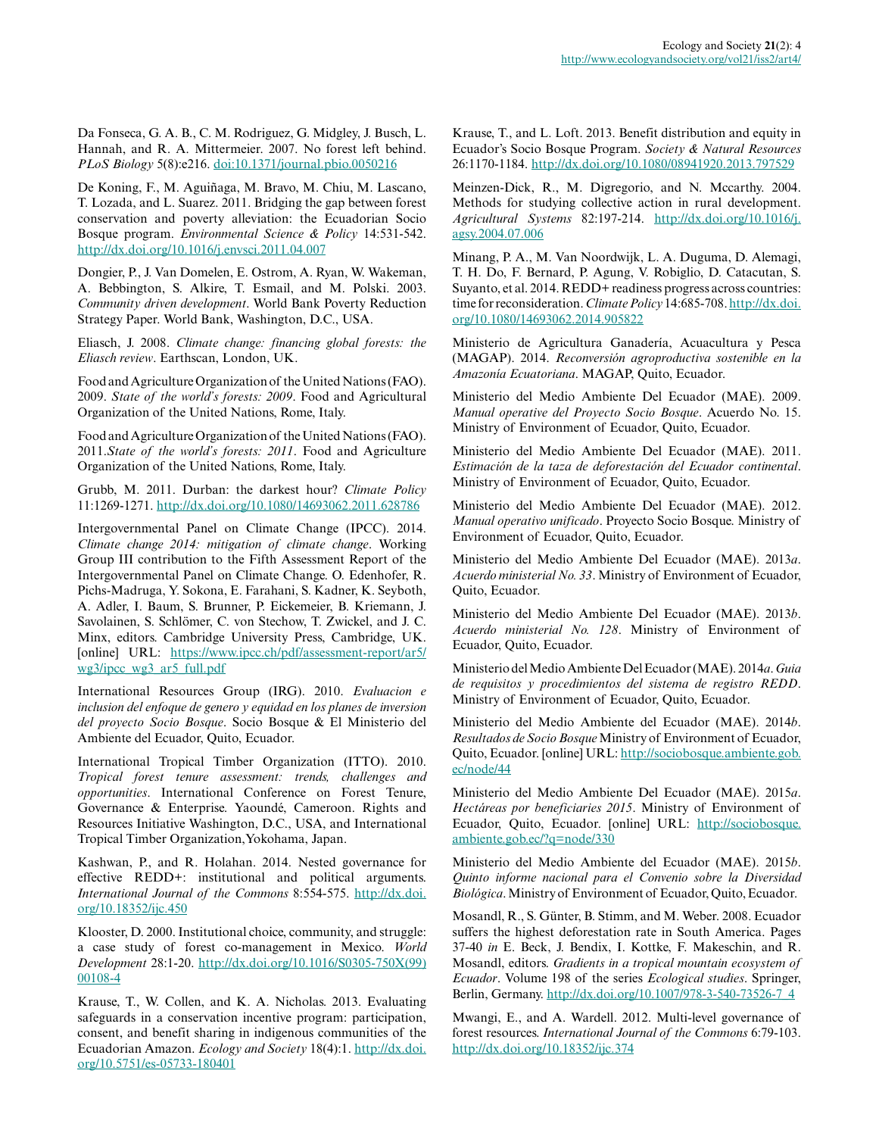Da Fonseca, G. A. B., C. M. Rodriguez, G. Midgley, J. Busch, L. Hannah, and R. A. Mittermeier. 2007. No forest left behind. *PLoS Biology* 5(8):e216. <doi:10.1371/journal.pbio.0050216>

De Koning, F., M. Aguiñaga, M. Bravo, M. Chiu, M. Lascano, T. Lozada, and L. Suarez. 2011. Bridging the gap between forest conservation and poverty alleviation: the Ecuadorian Socio Bosque program. *Environmental Science & Policy* 14:531-542. [http://dx.doi.org/10.1016/j.envsci.2011.04.007](http://dx.doi.org/10.1016%2Fj.envsci.2011.04.007) 

Dongier, P., J. Van Domelen, E. Ostrom, A. Ryan, W. Wakeman, A. Bebbington, S. Alkire, T. Esmail, and M. Polski. 2003. *Community driven development*. World Bank Poverty Reduction Strategy Paper. World Bank, Washington, D.C., USA.

Eliasch, J. 2008. *Climate change: financing global forests: the Eliasch review*. Earthscan, London, UK.

Food and Agriculture Organization of the United Nations (FAO). 2009. *State of the world's forests: 2009*. Food and Agricultural Organization of the United Nations, Rome, Italy.

Food and Agriculture Organization of the United Nations (FAO). 2011.*State of the world's forests: 2011*. Food and Agriculture Organization of the United Nations, Rome, Italy.

Grubb, M. 2011. Durban: the darkest hour? *Climate Policy* 11:1269-1271. [http://dx.doi.org/10.1080/14693062.2011.628786](http://dx.doi.org/10.1080%2F14693062.2011.628786)

Intergovernmental Panel on Climate Change (IPCC). 2014. *Climate change 2014: mitigation of climate change*. Working Group III contribution to the Fifth Assessment Report of the Intergovernmental Panel on Climate Change. O. Edenhofer, R. Pichs-Madruga, Y. Sokona, E. Farahani, S. Kadner, K. Seyboth, A. Adler, I. Baum, S. Brunner, P. Eickemeier, B. Kriemann, J. Savolainen, S. Schlömer, C. von Stechow, T. Zwickel, and J. C. Minx, editors. Cambridge University Press, Cambridge, UK. [online] URL: [https://www.ipcc.ch/pdf/assessment-report/ar5/](https://www.ipcc.ch/pdf/assessment-report/ar5/wg3/ipcc_wg3_ar5_full.pdf) [wg3/ipcc\\_wg3\\_ar5\\_full.pdf](https://www.ipcc.ch/pdf/assessment-report/ar5/wg3/ipcc_wg3_ar5_full.pdf)

International Resources Group (IRG). 2010. *Evaluacion e inclusion del enfoque de genero y equidad en los planes de inversion del proyecto Socio Bosque*. Socio Bosque & El Ministerio del Ambiente del Ecuador, Quito, Ecuador.

International Tropical Timber Organization (ITTO). 2010. *Tropical forest tenure assessment: trends, challenges and opportunities*. International Conference on Forest Tenure, Governance & Enterprise. Yaoundé, Cameroon. Rights and Resources Initiative Washington, D.C., USA, and International Tropical Timber Organization,Yokohama, Japan.

Kashwan, P., and R. Holahan. 2014. Nested governance for effective REDD+: institutional and political arguments. *International Journal of the Commons* 8:554-575. [http://dx.doi.](http://dx.doi.org/10.18352%2Fijc.450) [org/10.18352/ijc.450](http://dx.doi.org/10.18352%2Fijc.450)

Klooster, D. 2000. Institutional choice, community, and struggle: a case study of forest co-management in Mexico. *World Development* 28:1-20. [http://dx.doi.org/10.1016/S0305-750X\(99\)](http://dx.doi.org/10.1016%2FS0305-750X%2899%2900108-4) [00108-4](http://dx.doi.org/10.1016%2FS0305-750X%2899%2900108-4) 

Krause, T., W. Collen, and K. A. Nicholas. 2013. Evaluating safeguards in a conservation incentive program: participation, consent, and benefit sharing in indigenous communities of the Ecuadorian Amazon. *Ecology and Society* 18(4):1. [http://dx.doi.](http://dx.doi.org/10.5751%2Fes-05733-180401) [org/10.5751/es-05733-180401](http://dx.doi.org/10.5751%2Fes-05733-180401)

Krause, T., and L. Loft. 2013. Benefit distribution and equity in Ecuador's Socio Bosque Program. *Society & Natural Resources* 26:1170-1184. [http://dx.doi.org/10.1080/08941920.2013.797529](http://dx.doi.org/10.1080%2F08941920.2013.797529)

Meinzen-Dick, R., M. Digregorio, and N. Mccarthy. 2004. Methods for studying collective action in rural development. *Agricultural Systems* 82:197-214. [http://dx.doi.org/10.1016/j.](http://dx.doi.org/10.1016%2Fj.agsy.2004.07.006) [agsy.2004.07.006](http://dx.doi.org/10.1016%2Fj.agsy.2004.07.006) 

Minang, P. A., M. Van Noordwijk, L. A. Duguma, D. Alemagi, T. H. Do, F. Bernard, P. Agung, V. Robiglio, D. Catacutan, S. Suyanto, et al. 2014. REDD+ readiness progress across countries: time for reconsideration. *Climate Policy* 14:685-708. [http://dx.doi.](http://dx.doi.org/10.1080%2F14693062.2014.905822) [org/10.1080/14693062.2014.905822](http://dx.doi.org/10.1080%2F14693062.2014.905822)

Ministerio de Agricultura Ganadería, Acuacultura y Pesca (MAGAP). 2014. *Reconversión agroproductiva sostenible en la Amazonía Ecuatoriana*. MAGAP, Quito, Ecuador.

Ministerio del Medio Ambiente Del Ecuador (MAE). 2009. *Manual operative del Proyecto Socio Bosque*. Acuerdo No. 15. Ministry of Environment of Ecuador, Quito, Ecuador.

Ministerio del Medio Ambiente Del Ecuador (MAE). 2011. *Estimación de la taza de deforestación del Ecuador continental*. Ministry of Environment of Ecuador, Quito, Ecuador.

Ministerio del Medio Ambiente Del Ecuador (MAE). 2012. *Manual operativo unificado*. Proyecto Socio Bosque. Ministry of Environment of Ecuador, Quito, Ecuador.

Ministerio del Medio Ambiente Del Ecuador (MAE). 2013*a*. *Acuerdo ministerial No. 33*. Ministry of Environment of Ecuador, Quito, Ecuador.

Ministerio del Medio Ambiente Del Ecuador (MAE). 2013*b*. *Acuerdo ministerial No. 128*. Ministry of Environment of Ecuador, Quito, Ecuador.

Ministerio del Medio Ambiente Del Ecuador (MAE). 2014*a*. *Guia de requisitos y procedimientos del sistema de registro REDD*. Ministry of Environment of Ecuador, Quito, Ecuador.

Ministerio del Medio Ambiente del Ecuador (MAE). 2014*b*. *Resultados de Socio Bosque* Ministry of Environment of Ecuador, Quito, Ecuador. [online] URL: [http://sociobosque.ambiente.gob.](http://sociobosque.ambiente.gob.ec/node/44) [ec/node/44](http://sociobosque.ambiente.gob.ec/node/44) 

Ministerio del Medio Ambiente Del Ecuador (MAE). 2015*a*. *Hectáreas por beneficiaries 2015*. Ministry of Environment of Ecuador, Quito, Ecuador. [online] URL: [http://sociobosque.](http://sociobosque.ambiente.gob.ec/?q=node/330) [ambiente.gob.ec/?q=node/330](http://sociobosque.ambiente.gob.ec/?q=node/330)

Ministerio del Medio Ambiente del Ecuador (MAE). 2015*b*. *Quinto informe nacional para el Convenio sobre la Diversidad Biológica*. Ministry of Environment of Ecuador, Quito, Ecuador.

Mosandl, R., S. Günter, B. Stimm, and M. Weber. 2008. Ecuador suffers the highest deforestation rate in South America. Pages 37-40 *in* E. Beck, J. Bendix, I. Kottke, F. Makeschin, and R. Mosandl, editors. *Gradients in a tropical mountain ecosystem of Ecuador*. Volume 198 of the series *Ecological studies*. Springer, Berlin, Germany. [http://dx.doi.org/10.1007/978-3-540-73526-7\\_4](http://dx.doi.org/10.1007%2F978-3-540-73526-7_4) 

Mwangi, E., and A. Wardell. 2012. Multi-level governance of forest resources. *International Journal of the Commons* 6:79-103. [http://dx.doi.org/10.18352/ijc.374](http://dx.doi.org/10.18352%2Fijc.374)